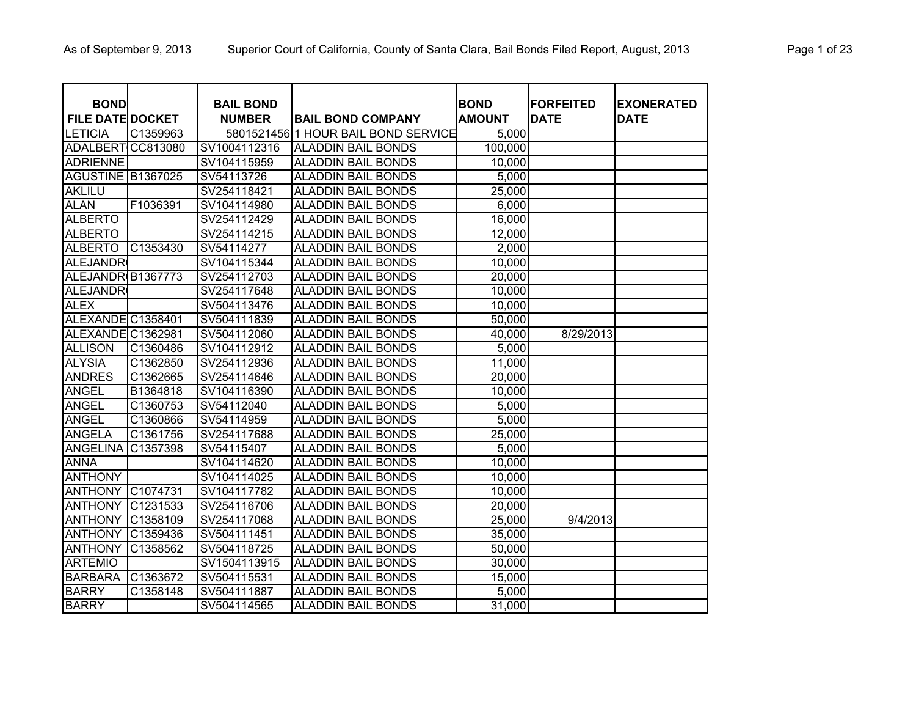| <b>BOND</b>             |          | <b>BAIL BOND</b> |                                     | <b>BOND</b>   | <b>FORFEITED</b> | <b>EXONERATED</b> |
|-------------------------|----------|------------------|-------------------------------------|---------------|------------------|-------------------|
| <b>FILE DATE DOCKET</b> |          | <b>NUMBER</b>    | <b>BAIL BOND COMPANY</b>            | <b>AMOUNT</b> | <b>DATE</b>      | <b>DATE</b>       |
| <b>LETICIA</b>          | C1359963 |                  | 5801521456 1 HOUR BAIL BOND SERVICE | 5,000         |                  |                   |
| <b>ADALBERT</b>         | CC813080 | SV1004112316     | <b>ALADDIN BAIL BONDS</b>           | 100,000       |                  |                   |
| <b>ADRIENNE</b>         |          | SV104115959      | <b>ALADDIN BAIL BONDS</b>           | 10,000        |                  |                   |
| AGUSTINE B1367025       |          | SV54113726       | <b>ALADDIN BAIL BONDS</b>           | 5,000         |                  |                   |
| <b>AKLILU</b>           |          | SV254118421      | <b>ALADDIN BAIL BONDS</b>           | 25,000        |                  |                   |
| <b>ALAN</b>             | F1036391 | SV104114980      | <b>ALADDIN BAIL BONDS</b>           | 6,000         |                  |                   |
| <b>ALBERTO</b>          |          | SV254112429      | <b>ALADDIN BAIL BONDS</b>           | 16,000        |                  |                   |
| <b>ALBERTO</b>          |          | SV254114215      | <b>ALADDIN BAIL BONDS</b>           | 12,000        |                  |                   |
| <b>ALBERTO</b>          | C1353430 | SV54114277       | <b>ALADDIN BAIL BONDS</b>           | 2,000         |                  |                   |
| <b>ALEJANDR</b>         |          | SV104115344      | <b>ALADDIN BAIL BONDS</b>           | 10,000        |                  |                   |
| ALEJANDR B1367773       |          | SV254112703      | <b>ALADDIN BAIL BONDS</b>           | 20,000        |                  |                   |
| <b>ALEJANDR</b>         |          | SV254117648      | <b>ALADDIN BAIL BONDS</b>           | 10,000        |                  |                   |
| ALEX                    |          | SV504113476      | <b>ALADDIN BAIL BONDS</b>           | 10,000        |                  |                   |
| ALEXANDEC1358401        |          | SV504111839      | <b>ALADDIN BAIL BONDS</b>           | 50,000        |                  |                   |
| ALEXANDE C1362981       |          | SV504112060      | <b>ALADDIN BAIL BONDS</b>           | 40,000        | 8/29/2013        |                   |
| <b>ALLISON</b>          | C1360486 | SV104112912      | <b>ALADDIN BAIL BONDS</b>           | 5,000         |                  |                   |
| <b>ALYSIA</b>           | C1362850 | SV254112936      | <b>ALADDIN BAIL BONDS</b>           | 11,000        |                  |                   |
| <b>ANDRES</b>           | C1362665 | SV254114646      | <b>ALADDIN BAIL BONDS</b>           | 20,000        |                  |                   |
| <b>ANGEL</b>            | B1364818 | SV104116390      | <b>ALADDIN BAIL BONDS</b>           | 10,000        |                  |                   |
| <b>ANGEL</b>            | C1360753 | SV54112040       | <b>ALADDIN BAIL BONDS</b>           | 5,000         |                  |                   |
| <b>ANGEL</b>            | C1360866 | SV54114959       | <b>ALADDIN BAIL BONDS</b>           | 5,000         |                  |                   |
| <b>ANGELA</b>           | C1361756 | SV254117688      | <b>ALADDIN BAIL BONDS</b>           | 25,000        |                  |                   |
| <b>ANGELINA</b>         | C1357398 | SV54115407       | <b>ALADDIN BAIL BONDS</b>           | 5,000         |                  |                   |
| <b>ANNA</b>             |          | SV104114620      | <b>ALADDIN BAIL BONDS</b>           | 10,000        |                  |                   |
| <b>ANTHONY</b>          |          | SV104114025      | <b>ALADDIN BAIL BONDS</b>           | 10,000        |                  |                   |
| <b>ANTHONY</b>          | C1074731 | SV104117782      | <b>ALADDIN BAIL BONDS</b>           | 10,000        |                  |                   |
| <b>ANTHONY</b>          | C1231533 | SV254116706      | <b>ALADDIN BAIL BONDS</b>           | 20,000        |                  |                   |
| <b>ANTHONY</b>          | C1358109 | SV254117068      | <b>ALADDIN BAIL BONDS</b>           | 25,000        | 9/4/2013         |                   |
| <b>ANTHONY</b>          | C1359436 | SV504111451      | <b>ALADDIN BAIL BONDS</b>           | 35,000        |                  |                   |
| <b>ANTHONY</b>          | C1358562 | SV504118725      | <b>ALADDIN BAIL BONDS</b>           | 50,000        |                  |                   |
| <b>ARTEMIO</b>          |          | SV1504113915     | <b>ALADDIN BAIL BONDS</b>           | 30,000        |                  |                   |
| <b>BARBARA</b>          | C1363672 | SV504115531      | <b>ALADDIN BAIL BONDS</b>           | 15,000        |                  |                   |
| <b>BARRY</b>            | C1358148 | SV504111887      | <b>ALADDIN BAIL BONDS</b>           | 5,000         |                  |                   |
| <b>BARRY</b>            |          | SV504114565      | <b>ALADDIN BAIL BONDS</b>           | 31,000        |                  |                   |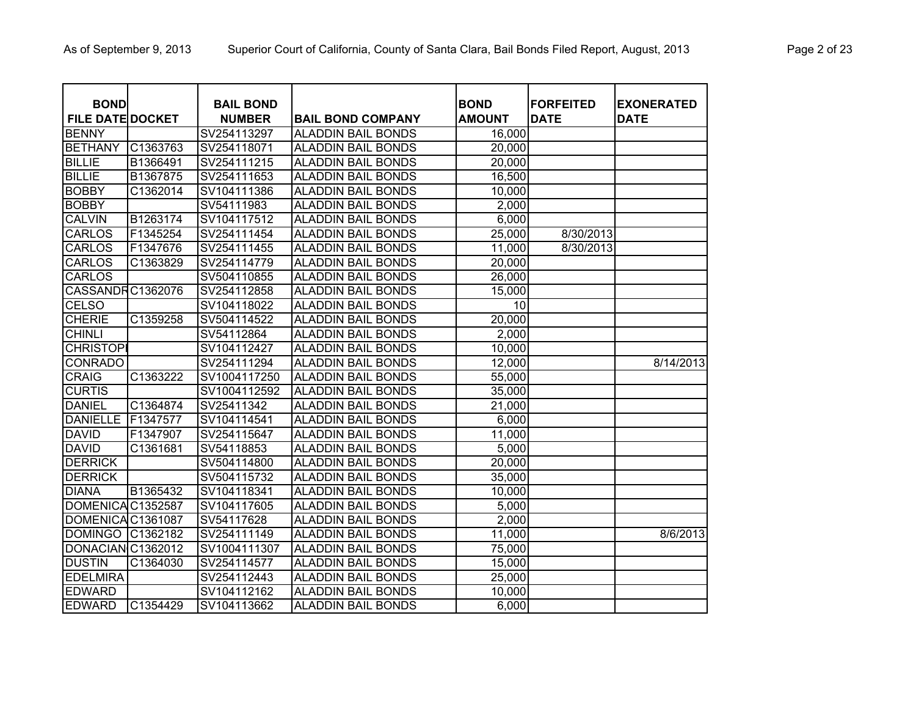| <b>BOND</b>             |          | <b>BAIL BOND</b> |                           | <b>BOND</b>   | <b>FORFEITED</b> | <b>EXONERATED</b> |
|-------------------------|----------|------------------|---------------------------|---------------|------------------|-------------------|
| <b>FILE DATE DOCKET</b> |          | <b>NUMBER</b>    | <b>BAIL BOND COMPANY</b>  | <b>AMOUNT</b> | <b>DATE</b>      | <b>DATE</b>       |
| <b>BENNY</b>            |          | SV254113297      | <b>ALADDIN BAIL BONDS</b> | 16,000        |                  |                   |
| <b>BETHANY</b>          | C1363763 | SV254118071      | <b>ALADDIN BAIL BONDS</b> | 20,000        |                  |                   |
| <b>BILLIE</b>           | B1366491 | SV254111215      | <b>ALADDIN BAIL BONDS</b> | 20,000        |                  |                   |
| <b>BILLIE</b>           | B1367875 | SV254111653      | <b>ALADDIN BAIL BONDS</b> | 16,500        |                  |                   |
| <b>BOBBY</b>            | C1362014 | SV104111386      | <b>ALADDIN BAIL BONDS</b> | 10,000        |                  |                   |
| <b>BOBBY</b>            |          | SV54111983       | <b>ALADDIN BAIL BONDS</b> | 2,000         |                  |                   |
| <b>CALVIN</b>           | B1263174 | SV104117512      | <b>ALADDIN BAIL BONDS</b> | 6,000         |                  |                   |
| <b>CARLOS</b>           | F1345254 | SV254111454      | <b>ALADDIN BAIL BONDS</b> | 25,000        | 8/30/2013        |                   |
| <b>CARLOS</b>           | F1347676 | SV254111455      | <b>ALADDIN BAIL BONDS</b> | 11,000        | 8/30/2013        |                   |
| <b>CARLOS</b>           | C1363829 | SV254114779      | <b>ALADDIN BAIL BONDS</b> | 20,000        |                  |                   |
| <b>CARLOS</b>           |          | SV504110855      | <b>ALADDIN BAIL BONDS</b> | 26,000        |                  |                   |
| CASSANDRC1362076        |          | SV254112858      | <b>ALADDIN BAIL BONDS</b> | 15,000        |                  |                   |
| <b>CELSO</b>            |          | SV104118022      | <b>ALADDIN BAIL BONDS</b> | 10            |                  |                   |
| <b>CHERIE</b>           | C1359258 | SV504114522      | <b>ALADDIN BAIL BONDS</b> | 20,000        |                  |                   |
| <b>CHINLI</b>           |          | SV54112864       | <b>ALADDIN BAIL BONDS</b> | 2,000         |                  |                   |
| <b>CHRISTOPI</b>        |          | SV104112427      | <b>ALADDIN BAIL BONDS</b> | 10,000        |                  |                   |
| <b>CONRADO</b>          |          | SV254111294      | <b>ALADDIN BAIL BONDS</b> | 12,000        |                  | 8/14/2013         |
| <b>CRAIG</b>            | C1363222 | SV1004117250     | <b>ALADDIN BAIL BONDS</b> | 55,000        |                  |                   |
| <b>CURTIS</b>           |          | SV1004112592     | <b>ALADDIN BAIL BONDS</b> | 35,000        |                  |                   |
| <b>DANIEL</b>           | C1364874 | SV25411342       | <b>ALADDIN BAIL BONDS</b> | 21,000        |                  |                   |
| <b>DANIELLE</b>         | F1347577 | SV104114541      | <b>ALADDIN BAIL BONDS</b> | 6,000         |                  |                   |
| <b>DAVID</b>            | F1347907 | SV254115647      | <b>ALADDIN BAIL BONDS</b> | 11,000        |                  |                   |
| <b>DAVID</b>            | C1361681 | SV54118853       | <b>ALADDIN BAIL BONDS</b> | 5,000         |                  |                   |
| <b>DERRICK</b>          |          | SV504114800      | <b>ALADDIN BAIL BONDS</b> | 20,000        |                  |                   |
| <b>DERRICK</b>          |          | SV504115732      | <b>ALADDIN BAIL BONDS</b> | 35,000        |                  |                   |
| <b>DIANA</b>            | B1365432 | SV104118341      | <b>ALADDIN BAIL BONDS</b> | 10,000        |                  |                   |
| DOMENICA C1352587       |          | SV104117605      | <b>ALADDIN BAIL BONDS</b> | 5,000         |                  |                   |
| DOMENICA C1361087       |          | SV54117628       | <b>ALADDIN BAIL BONDS</b> | 2,000         |                  |                   |
| <b>DOMINGO</b>          | C1362182 | SV254111149      | <b>ALADDIN BAIL BONDS</b> | 11,000        |                  | 8/6/2013          |
| DONACIAN C1362012       |          | SV1004111307     | <b>ALADDIN BAIL BONDS</b> | 75,000        |                  |                   |
| <b>DUSTIN</b>           | C1364030 | SV254114577      | <b>ALADDIN BAIL BONDS</b> | 15,000        |                  |                   |
| <b>EDELMIRA</b>         |          | SV254112443      | <b>ALADDIN BAIL BONDS</b> | 25,000        |                  |                   |
| <b>EDWARD</b>           |          | SV104112162      | <b>ALADDIN BAIL BONDS</b> | 10,000        |                  |                   |
| <b>EDWARD</b>           | C1354429 | SV104113662      | <b>ALADDIN BAIL BONDS</b> | 6,000         |                  |                   |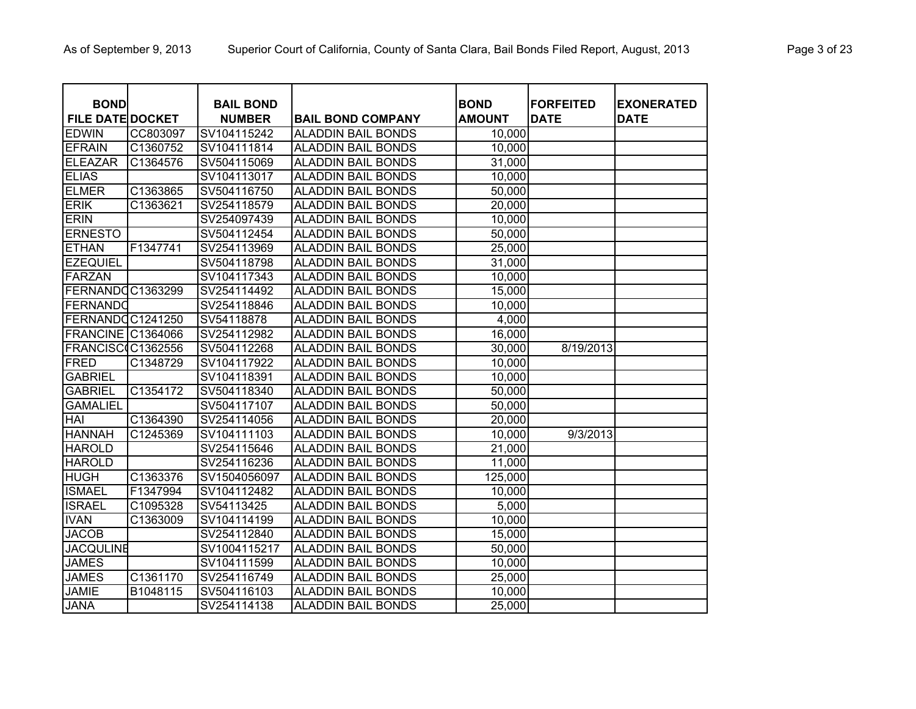| <b>BOND</b>              |          | <b>BAIL BOND</b> |                           | <b>BOND</b>   | <b>FORFEITED</b> | <b>EXONERATED</b> |
|--------------------------|----------|------------------|---------------------------|---------------|------------------|-------------------|
| <b>FILE DATE DOCKET</b>  |          | <b>NUMBER</b>    | <b>BAIL BOND COMPANY</b>  | <b>AMOUNT</b> | <b>DATE</b>      | <b>DATE</b>       |
| <b>EDWIN</b>             | CC803097 | SV104115242      | <b>ALADDIN BAIL BONDS</b> | 10,000        |                  |                   |
| <b>EFRAIN</b>            | C1360752 | SV104111814      | <b>ALADDIN BAIL BONDS</b> | 10,000        |                  |                   |
| <b>ELEAZAR</b>           | C1364576 | SV504115069      | <b>ALADDIN BAIL BONDS</b> | 31,000        |                  |                   |
| <b>ELIAS</b>             |          | SV104113017      | <b>ALADDIN BAIL BONDS</b> | 10,000        |                  |                   |
| <b>ELMER</b>             | C1363865 | SV504116750      | <b>ALADDIN BAIL BONDS</b> | 50,000        |                  |                   |
| <b>ERIK</b>              | C1363621 | SV254118579      | <b>ALADDIN BAIL BONDS</b> | 20,000        |                  |                   |
| <b>ERIN</b>              |          | SV254097439      | <b>ALADDIN BAIL BONDS</b> | 10,000        |                  |                   |
| <b>ERNESTO</b>           |          | SV504112454      | <b>ALADDIN BAIL BONDS</b> | 50,000        |                  |                   |
| <b>ETHAN</b>             | F1347741 | SV254113969      | <b>ALADDIN BAIL BONDS</b> | 25,000        |                  |                   |
| <b>EZEQUIEL</b>          |          | SV504118798      | <b>ALADDIN BAIL BONDS</b> | 31,000        |                  |                   |
| FARZAN                   |          | SV104117343      | <b>ALADDIN BAIL BONDS</b> | 10,000        |                  |                   |
| FERNANDOC1363299         |          | SV254114492      | <b>ALADDIN BAIL BONDS</b> | 15,000        |                  |                   |
| FERNANDO                 |          | SV254118846      | <b>ALADDIN BAIL BONDS</b> | 10,000        |                  |                   |
| FERNANDOC1241250         |          | SV54118878       | <b>ALADDIN BAIL BONDS</b> | 4,000         |                  |                   |
| <b>FRANCINE C1364066</b> |          | SV254112982      | <b>ALADDIN BAIL BONDS</b> | 16,000        |                  |                   |
| FRANCISC(C1362556        |          | SV504112268      | <b>ALADDIN BAIL BONDS</b> | 30,000        | 8/19/2013        |                   |
| <b>FRED</b>              | C1348729 | SV104117922      | <b>ALADDIN BAIL BONDS</b> | 10,000        |                  |                   |
| <b>GABRIEL</b>           |          | SV104118391      | <b>ALADDIN BAIL BONDS</b> | 10,000        |                  |                   |
| <b>GABRIEL</b>           | C1354172 | SV504118340      | <b>ALADDIN BAIL BONDS</b> | 50,000        |                  |                   |
| <b>GAMALIEL</b>          |          | SV504117107      | <b>ALADDIN BAIL BONDS</b> | 50,000        |                  |                   |
| <b>HAI</b>               | C1364390 | SV254114056      | <b>ALADDIN BAIL BONDS</b> | 20,000        |                  |                   |
| <b>HANNAH</b>            | C1245369 | SV104111103      | <b>ALADDIN BAIL BONDS</b> | 10,000        | 9/3/2013         |                   |
| <b>HAROLD</b>            |          | SV254115646      | <b>ALADDIN BAIL BONDS</b> | 21,000        |                  |                   |
| <b>HAROLD</b>            |          | SV254116236      | <b>ALADDIN BAIL BONDS</b> | 11,000        |                  |                   |
| <b>HUGH</b>              | C1363376 | SV1504056097     | <b>ALADDIN BAIL BONDS</b> | 125,000       |                  |                   |
| <b>ISMAEL</b>            | F1347994 | SV104112482      | <b>ALADDIN BAIL BONDS</b> | 10,000        |                  |                   |
| <b>ISRAEL</b>            | C1095328 | SV54113425       | <b>ALADDIN BAIL BONDS</b> | 5,000         |                  |                   |
| <b>IVAN</b>              | C1363009 | SV104114199      | <b>ALADDIN BAIL BONDS</b> | 10,000        |                  |                   |
| <b>JACOB</b>             |          | SV254112840      | <b>ALADDIN BAIL BONDS</b> | 15,000        |                  |                   |
| <b>JACQULINE</b>         |          | SV1004115217     | <b>ALADDIN BAIL BONDS</b> | 50,000        |                  |                   |
| <b>JAMES</b>             |          | SV104111599      | <b>ALADDIN BAIL BONDS</b> | 10,000        |                  |                   |
| <b>JAMES</b>             | C1361170 | SV254116749      | <b>ALADDIN BAIL BONDS</b> | 25,000        |                  |                   |
| <b>JAMIE</b>             | B1048115 | SV504116103      | <b>ALADDIN BAIL BONDS</b> | 10,000        |                  |                   |
| <b>JANA</b>              |          | SV254114138      | <b>ALADDIN BAIL BONDS</b> | 25,000        |                  |                   |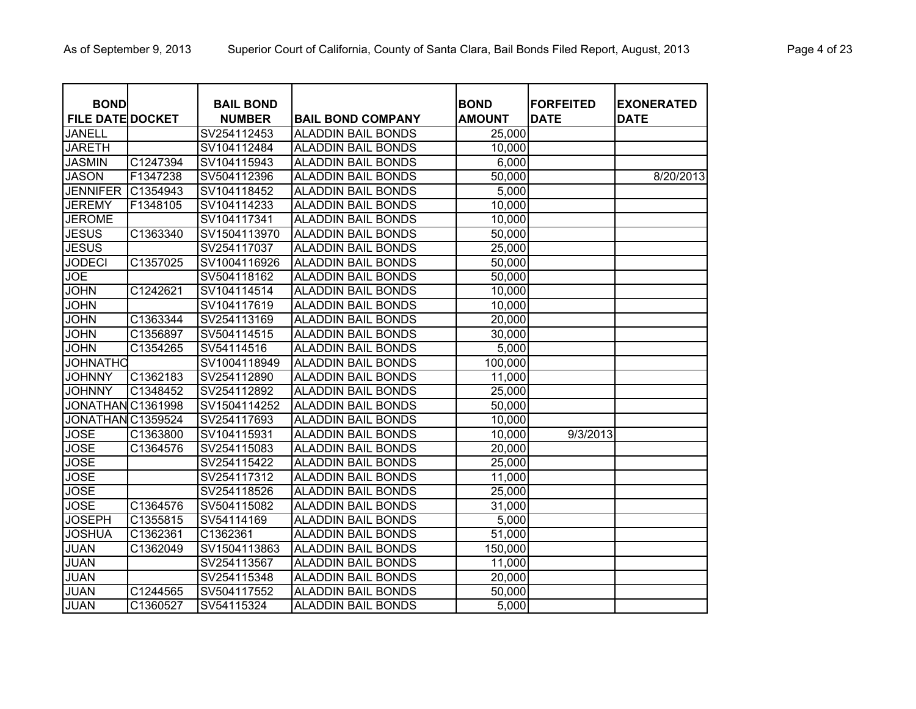| <b>BOND</b>             |          | <b>BAIL BOND</b> |                           | <b>BOND</b>   | <b>FORFEITED</b> | <b>EXONERATED</b> |
|-------------------------|----------|------------------|---------------------------|---------------|------------------|-------------------|
| <b>FILE DATE DOCKET</b> |          | <b>NUMBER</b>    | <b>BAIL BOND COMPANY</b>  | <b>AMOUNT</b> | <b>DATE</b>      | <b>DATE</b>       |
| <b>JANELL</b>           |          | SV254112453      | <b>ALADDIN BAIL BONDS</b> | 25,000        |                  |                   |
| <b>JARETH</b>           |          | SV104112484      | <b>ALADDIN BAIL BONDS</b> | 10,000        |                  |                   |
| <b>JASMIN</b>           | C1247394 | SV104115943      | <b>ALADDIN BAIL BONDS</b> | 6,000         |                  |                   |
| <b>JASON</b>            | F1347238 | SV504112396      | <b>ALADDIN BAIL BONDS</b> | 50,000        |                  | 8/20/2013         |
| <b>JENNIFER</b>         | C1354943 | SV104118452      | <b>ALADDIN BAIL BONDS</b> | 5,000         |                  |                   |
| <b>JEREMY</b>           | F1348105 | SV104114233      | <b>ALADDIN BAIL BONDS</b> | 10,000        |                  |                   |
| <b>JEROME</b>           |          | SV104117341      | <b>ALADDIN BAIL BONDS</b> | 10,000        |                  |                   |
| <b>JESUS</b>            | C1363340 | SV1504113970     | <b>ALADDIN BAIL BONDS</b> | 50,000        |                  |                   |
| <b>JESUS</b>            |          | SV254117037      | <b>ALADDIN BAIL BONDS</b> | 25,000        |                  |                   |
| <b>JODECI</b>           | C1357025 | SV1004116926     | <b>ALADDIN BAIL BONDS</b> | 50,000        |                  |                   |
| <b>JOE</b>              |          | SV504118162      | <b>ALADDIN BAIL BONDS</b> | 50,000        |                  |                   |
| <b>JOHN</b>             | C1242621 | SV104114514      | <b>ALADDIN BAIL BONDS</b> | 10,000        |                  |                   |
| <b>JOHN</b>             |          | SV104117619      | <b>ALADDIN BAIL BONDS</b> | 10,000        |                  |                   |
| <b>JOHN</b>             | C1363344 | SV254113169      | <b>ALADDIN BAIL BONDS</b> | 20,000        |                  |                   |
| <b>JOHN</b>             | C1356897 | SV504114515      | <b>ALADDIN BAIL BONDS</b> | 30,000        |                  |                   |
| <b>JOHN</b>             | C1354265 | SV54114516       | <b>ALADDIN BAIL BONDS</b> | 5,000         |                  |                   |
| <b>JOHNATHO</b>         |          | SV1004118949     | <b>ALADDIN BAIL BONDS</b> | 100,000       |                  |                   |
| <b>JOHNNY</b>           | C1362183 | SV254112890      | <b>ALADDIN BAIL BONDS</b> | 11,000        |                  |                   |
| <b>JOHNNY</b>           | C1348452 | SV254112892      | <b>ALADDIN BAIL BONDS</b> | 25,000        |                  |                   |
| JONATHAN C1361998       |          | SV1504114252     | <b>ALADDIN BAIL BONDS</b> | 50,000        |                  |                   |
| JONATHAN C1359524       |          | SV254117693      | <b>ALADDIN BAIL BONDS</b> | 10,000        |                  |                   |
| <b>JOSE</b>             | C1363800 | SV104115931      | <b>ALADDIN BAIL BONDS</b> | 10,000        | 9/3/2013         |                   |
| <b>JOSE</b>             | C1364576 | SV254115083      | <b>ALADDIN BAIL BONDS</b> | 20,000        |                  |                   |
| <b>JOSE</b>             |          | SV254115422      | <b>ALADDIN BAIL BONDS</b> | 25,000        |                  |                   |
| <b>JOSE</b>             |          | SV254117312      | <b>ALADDIN BAIL BONDS</b> | 11,000        |                  |                   |
| <b>JOSE</b>             |          | SV254118526      | <b>ALADDIN BAIL BONDS</b> | 25,000        |                  |                   |
| <b>JOSE</b>             | C1364576 | SV504115082      | <b>ALADDIN BAIL BONDS</b> | 31,000        |                  |                   |
| <b>JOSEPH</b>           | C1355815 | SV54114169       | <b>ALADDIN BAIL BONDS</b> | 5,000         |                  |                   |
| <b>JOSHUA</b>           | C1362361 | C1362361         | <b>ALADDIN BAIL BONDS</b> | 51,000        |                  |                   |
| <b>JUAN</b>             | C1362049 | SV1504113863     | <b>ALADDIN BAIL BONDS</b> | 150,000       |                  |                   |
| <b>JUAN</b>             |          | SV254113567      | <b>ALADDIN BAIL BONDS</b> | 11,000        |                  |                   |
| <b>JUAN</b>             |          | SV254115348      | <b>ALADDIN BAIL BONDS</b> | 20,000        |                  |                   |
| <b>JUAN</b>             | C1244565 | SV504117552      | <b>ALADDIN BAIL BONDS</b> | 50,000        |                  |                   |
| <b>JUAN</b>             | C1360527 | SV54115324       | <b>ALADDIN BAIL BONDS</b> | 5,000         |                  |                   |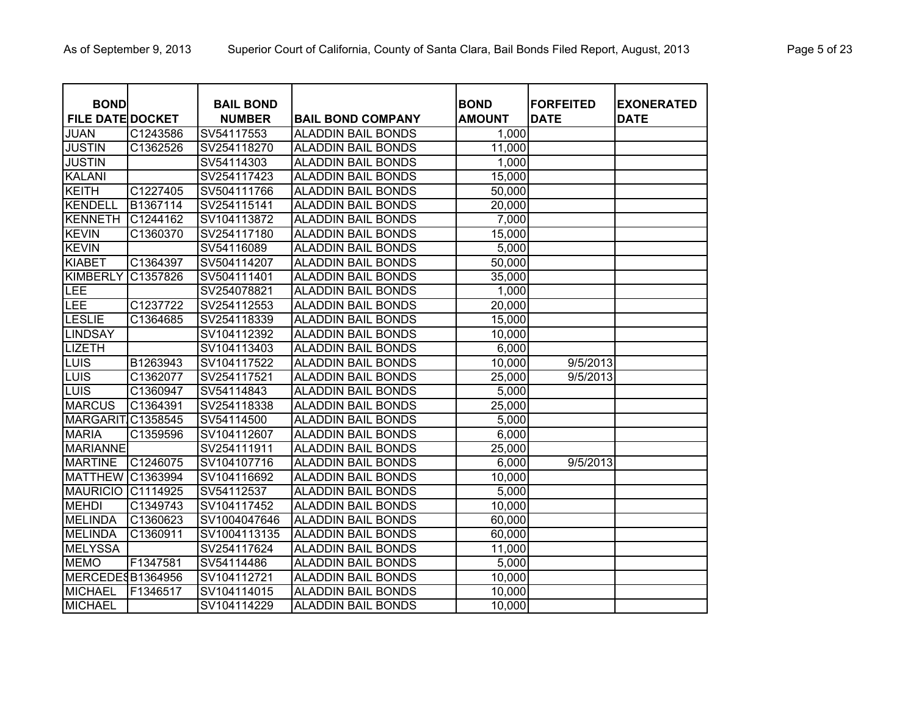| <b>BOND</b>             |                       | <b>BAIL BOND</b> |                           | <b>BOND</b>   | <b>FORFEITED</b> | <b>EXONERATED</b> |
|-------------------------|-----------------------|------------------|---------------------------|---------------|------------------|-------------------|
| <b>FILE DATE DOCKET</b> |                       | <b>NUMBER</b>    | <b>BAIL BOND COMPANY</b>  | <b>AMOUNT</b> | <b>DATE</b>      | <b>DATE</b>       |
| <b>JUAN</b>             | C1243586              | SV54117553       | <b>ALADDIN BAIL BONDS</b> | 1,000         |                  |                   |
| <b>JUSTIN</b>           | C1362526              | SV254118270      | <b>ALADDIN BAIL BONDS</b> | 11,000        |                  |                   |
| <b>JUSTIN</b>           |                       | SV54114303       | <b>ALADDIN BAIL BONDS</b> | 1,000         |                  |                   |
| <b>KALANI</b>           |                       | SV254117423      | <b>ALADDIN BAIL BONDS</b> | 15,000        |                  |                   |
| <b>KEITH</b>            | C1227405              | SV504111766      | <b>ALADDIN BAIL BONDS</b> | 50,000        |                  |                   |
| <b>KENDELL</b>          | B1367114              | SV254115141      | <b>ALADDIN BAIL BONDS</b> | 20,000        |                  |                   |
| KENNETH                 | C1244162              | SV104113872      | <b>ALADDIN BAIL BONDS</b> | 7,000         |                  |                   |
| <b>KEVIN</b>            | C1360370              | SV254117180      | <b>ALADDIN BAIL BONDS</b> | 15,000        |                  |                   |
| <b>KEVIN</b>            |                       | SV54116089       | <b>ALADDIN BAIL BONDS</b> | 5,000         |                  |                   |
| <b>KIABET</b>           | C1364397              | SV504114207      | <b>ALADDIN BAIL BONDS</b> | 50,000        |                  |                   |
| <b>KIMBERLY</b>         | C1357826              | SV504111401      | <b>ALADDIN BAIL BONDS</b> | 35,000        |                  |                   |
| LEE                     |                       | SV254078821      | <b>ALADDIN BAIL BONDS</b> | 1,000         |                  |                   |
| LEE                     | C1237722              | SV254112553      | <b>ALADDIN BAIL BONDS</b> | 20,000        |                  |                   |
| LESLIE                  | C1364685              | SV254118339      | <b>ALADDIN BAIL BONDS</b> | 15,000        |                  |                   |
| <b>LINDSAY</b>          |                       | SV104112392      | <b>ALADDIN BAIL BONDS</b> | 10,000        |                  |                   |
| <b>LIZETH</b>           |                       | SV104113403      | <b>ALADDIN BAIL BONDS</b> | 6,000         |                  |                   |
| LUIS                    | B1263943              | SV104117522      | <b>ALADDIN BAIL BONDS</b> | 10,000        | 9/5/2013         |                   |
| LUIS                    | C1362077              | SV254117521      | <b>ALADDIN BAIL BONDS</b> | 25,000        | 9/5/2013         |                   |
| LUIS                    | C1360947              | SV54114843       | <b>ALADDIN BAIL BONDS</b> | 5,000         |                  |                   |
| <b>MARCUS</b>           | C1364391              | SV254118338      | <b>ALADDIN BAIL BONDS</b> | 25,000        |                  |                   |
| <b>MARGARIT</b>         | C1358545              | SV54114500       | <b>ALADDIN BAIL BONDS</b> | 5,000         |                  |                   |
| <b>MARIA</b>            | C1359596              | SV104112607      | <b>ALADDIN BAIL BONDS</b> | 6,000         |                  |                   |
| <b>MARIANNE</b>         |                       | SV254111911      | <b>ALADDIN BAIL BONDS</b> | 25,000        |                  |                   |
| <b>MARTINE</b>          | C1246075              | SV104107716      | <b>ALADDIN BAIL BONDS</b> | 6,000         | 9/5/2013         |                   |
| <b>MATTHEW</b>          | C1363994              | SV104116692      | <b>ALADDIN BAIL BONDS</b> | 10,000        |                  |                   |
| <b>MAURICIO</b>         | C1114925              | SV54112537       | <b>ALADDIN BAIL BONDS</b> | 5,000         |                  |                   |
| <b>MEHDI</b>            | C1349743              | SV104117452      | <b>ALADDIN BAIL BONDS</b> | 10,000        |                  |                   |
| <b>MELINDA</b>          | C1360623              | SV1004047646     | <b>ALADDIN BAIL BONDS</b> | 60,000        |                  |                   |
| <b>MELINDA</b>          | C <sub>136</sub> 0911 | SV1004113135     | <b>ALADDIN BAIL BONDS</b> | 60,000        |                  |                   |
| <b>MELYSSA</b>          |                       | SV254117624      | <b>ALADDIN BAIL BONDS</b> | 11,000        |                  |                   |
| <b>MEMO</b>             | F1347581              | SV54114486       | <b>ALADDIN BAIL BONDS</b> | 5,000         |                  |                   |
| MERCEDESB1364956        |                       | SV104112721      | <b>ALADDIN BAIL BONDS</b> | 10,000        |                  |                   |
| <b>MICHAEL</b>          | F1346517              | SV104114015      | <b>ALADDIN BAIL BONDS</b> | 10,000        |                  |                   |
| <b>MICHAEL</b>          |                       | SV104114229      | <b>ALADDIN BAIL BONDS</b> | 10,000        |                  |                   |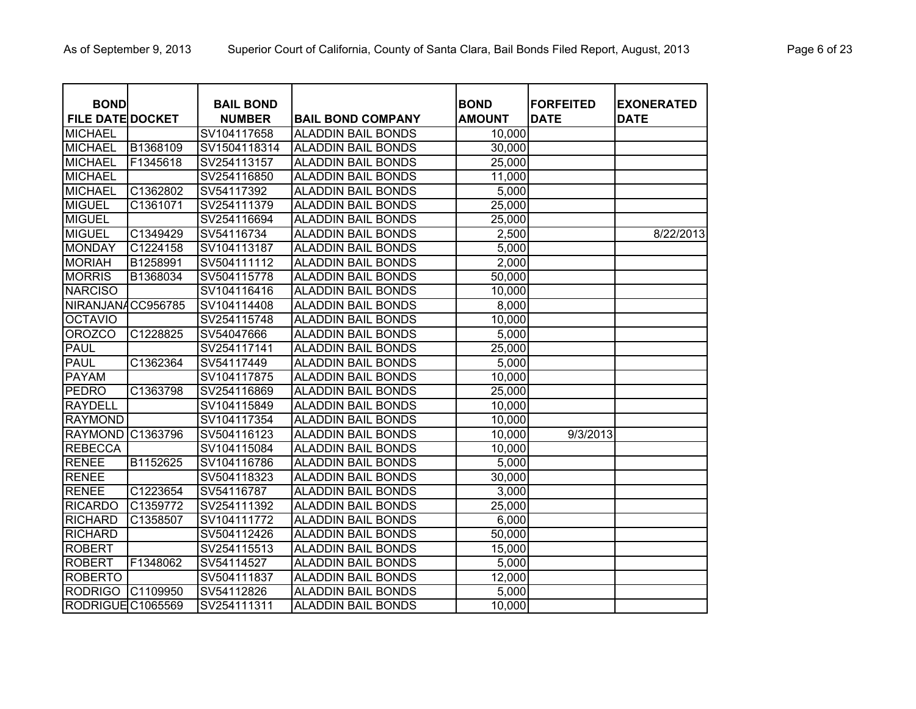| <b>BOND</b>             |          | <b>BAIL BOND</b> |                           | <b>BOND</b>   | <b>FORFEITED</b> | <b>EXONERATED</b> |
|-------------------------|----------|------------------|---------------------------|---------------|------------------|-------------------|
| <b>FILE DATE DOCKET</b> |          | <b>NUMBER</b>    | <b>BAIL BOND COMPANY</b>  | <b>AMOUNT</b> | <b>DATE</b>      | <b>DATE</b>       |
| <b>MICHAEL</b>          |          | SV104117658      | <b>ALADDIN BAIL BONDS</b> | 10,000        |                  |                   |
| <b>MICHAEL</b>          | B1368109 | SV1504118314     | <b>ALADDIN BAIL BONDS</b> | 30,000        |                  |                   |
| <b>MICHAEL</b>          | F1345618 | SV254113157      | <b>ALADDIN BAIL BONDS</b> | 25,000        |                  |                   |
| <b>MICHAEL</b>          |          | SV254116850      | <b>ALADDIN BAIL BONDS</b> | 11,000        |                  |                   |
| <b>MICHAEL</b>          | C1362802 | SV54117392       | <b>ALADDIN BAIL BONDS</b> | 5,000         |                  |                   |
| <b>MIGUEL</b>           | C1361071 | SV254111379      | <b>ALADDIN BAIL BONDS</b> | 25,000        |                  |                   |
| <b>MIGUEL</b>           |          | SV254116694      | <b>ALADDIN BAIL BONDS</b> | 25,000        |                  |                   |
| <b>MIGUEL</b>           | C1349429 | SV54116734       | <b>ALADDIN BAIL BONDS</b> | 2,500         |                  | 8/22/2013         |
| <b>MONDAY</b>           | C1224158 | SV104113187      | <b>ALADDIN BAIL BONDS</b> | 5,000         |                  |                   |
| <b>MORIAH</b>           | B1258991 | SV504111112      | <b>ALADDIN BAIL BONDS</b> | 2,000         |                  |                   |
| <b>MORRIS</b>           | B1368034 | SV504115778      | <b>ALADDIN BAIL BONDS</b> | 50,000        |                  |                   |
| <b>NARCISO</b>          |          | SV104116416      | <b>ALADDIN BAIL BONDS</b> | 10,000        |                  |                   |
| NIRANJANACC956785       |          | SV104114408      | <b>ALADDIN BAIL BONDS</b> | 8,000         |                  |                   |
| <b>OCTAVIO</b>          |          | SV254115748      | <b>ALADDIN BAIL BONDS</b> | 10,000        |                  |                   |
| <b>OROZCO</b>           | C1228825 | SV54047666       | <b>ALADDIN BAIL BONDS</b> | 5,000         |                  |                   |
| <b>PAUL</b>             |          | SV254117141      | <b>ALADDIN BAIL BONDS</b> | 25,000        |                  |                   |
| <b>PAUL</b>             | C1362364 | SV54117449       | <b>ALADDIN BAIL BONDS</b> | 5,000         |                  |                   |
| <b>PAYAM</b>            |          | SV104117875      | <b>ALADDIN BAIL BONDS</b> | 10,000        |                  |                   |
| <b>PEDRO</b>            | C1363798 | SV254116869      | <b>ALADDIN BAIL BONDS</b> | 25,000        |                  |                   |
| <b>RAYDELL</b>          |          | SV104115849      | <b>ALADDIN BAIL BONDS</b> | 10,000        |                  |                   |
| <b>RAYMOND</b>          |          | SV104117354      | <b>ALADDIN BAIL BONDS</b> | 10,000        |                  |                   |
| <b>RAYMOND</b>          | C1363796 | SV504116123      | <b>ALADDIN BAIL BONDS</b> | 10,000        | 9/3/2013         |                   |
| <b>REBECCA</b>          |          | SV104115084      | <b>ALADDIN BAIL BONDS</b> | 10,000        |                  |                   |
| <b>RENEE</b>            | B1152625 | SV104116786      | <b>ALADDIN BAIL BONDS</b> | 5,000         |                  |                   |
| <b>RENEE</b>            |          | SV504118323      | <b>ALADDIN BAIL BONDS</b> | 30,000        |                  |                   |
| <b>RENEE</b>            | C1223654 | SV54116787       | <b>ALADDIN BAIL BONDS</b> | 3,000         |                  |                   |
| <b>RICARDO</b>          | C1359772 | SV254111392      | <b>ALADDIN BAIL BONDS</b> | 25,000        |                  |                   |
| RICHARD                 | C1358507 | SV104111772      | <b>ALADDIN BAIL BONDS</b> | 6,000         |                  |                   |
| <b>RICHARD</b>          |          | SV504112426      | <b>ALADDIN BAIL BONDS</b> | 50,000        |                  |                   |
| <b>ROBERT</b>           |          | SV254115513      | <b>ALADDIN BAIL BONDS</b> | 15,000        |                  |                   |
| <b>ROBERT</b>           | F1348062 | SV54114527       | <b>ALADDIN BAIL BONDS</b> | 5,000         |                  |                   |
| <b>ROBERTO</b>          |          | SV504111837      | <b>ALADDIN BAIL BONDS</b> | 12,000        |                  |                   |
| <b>RODRIGO</b>          | C1109950 | SV54112826       | <b>ALADDIN BAIL BONDS</b> | 5,000         |                  |                   |
| RODRIGUEC1065569        |          | SV254111311      | <b>ALADDIN BAIL BONDS</b> | 10,000        |                  |                   |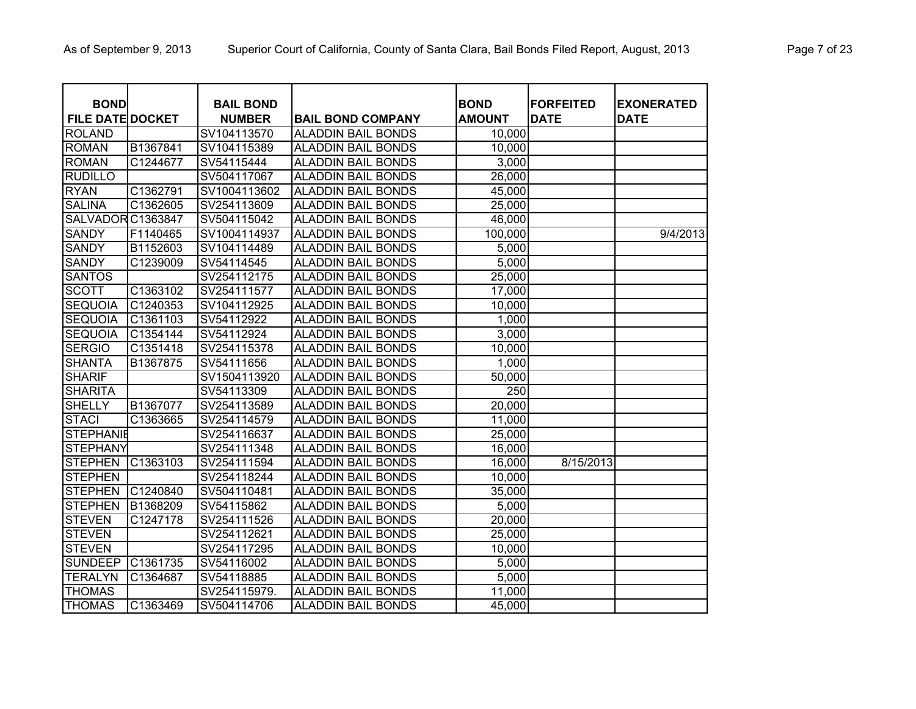| <b>BOND</b>             |          | <b>BAIL BOND</b> |                           | <b>BOND</b>   | <b>FORFEITED</b> | <b>EXONERATED</b> |
|-------------------------|----------|------------------|---------------------------|---------------|------------------|-------------------|
| <b>FILE DATE DOCKET</b> |          | <b>NUMBER</b>    | <b>BAIL BOND COMPANY</b>  | <b>AMOUNT</b> | <b>DATE</b>      | <b>DATE</b>       |
| <b>ROLAND</b>           |          | SV104113570      | <b>ALADDIN BAIL BONDS</b> | 10,000        |                  |                   |
| <b>ROMAN</b>            | B1367841 | SV104115389      | <b>ALADDIN BAIL BONDS</b> | 10,000        |                  |                   |
| <b>ROMAN</b>            | C1244677 | SV54115444       | <b>ALADDIN BAIL BONDS</b> | 3,000         |                  |                   |
| <b>RUDILLO</b>          |          | SV504117067      | <b>ALADDIN BAIL BONDS</b> | 26,000        |                  |                   |
| <b>RYAN</b>             | C1362791 | SV1004113602     | <b>ALADDIN BAIL BONDS</b> | 45,000        |                  |                   |
| <b>SALINA</b>           | C1362605 | SV254113609      | <b>ALADDIN BAIL BONDS</b> | 25,000        |                  |                   |
| SALVADOR C1363847       |          | SV504115042      | <b>ALADDIN BAIL BONDS</b> | 46,000        |                  |                   |
| <b>SANDY</b>            | F1140465 | SV1004114937     | <b>ALADDIN BAIL BONDS</b> | 100,000       |                  | 9/4/2013          |
| <b>SANDY</b>            | B1152603 | SV104114489      | <b>ALADDIN BAIL BONDS</b> | 5,000         |                  |                   |
| <b>SANDY</b>            | C1239009 | SV54114545       | <b>ALADDIN BAIL BONDS</b> | 5,000         |                  |                   |
| <b>SANTOS</b>           |          | SV254112175      | <b>ALADDIN BAIL BONDS</b> | 25,000        |                  |                   |
| <b>SCOTT</b>            | C1363102 | SV254111577      | <b>ALADDIN BAIL BONDS</b> | 17,000        |                  |                   |
| <b>SEQUOIA</b>          | C1240353 | SV104112925      | <b>ALADDIN BAIL BONDS</b> | 10,000        |                  |                   |
| <b>SEQUOIA</b>          | C1361103 | SV54112922       | <b>ALADDIN BAIL BONDS</b> | 1,000         |                  |                   |
| <b>SEQUOIA</b>          | C1354144 | SV54112924       | <b>ALADDIN BAIL BONDS</b> | 3,000         |                  |                   |
| <b>SERGIO</b>           | C1351418 | SV254115378      | <b>ALADDIN BAIL BONDS</b> | 10,000        |                  |                   |
| <b>SHANTA</b>           | B1367875 | SV54111656       | <b>ALADDIN BAIL BONDS</b> | 1,000         |                  |                   |
| <b>SHARIF</b>           |          | SV1504113920     | <b>ALADDIN BAIL BONDS</b> | 50,000        |                  |                   |
| <b>SHARITA</b>          |          | SV54113309       | <b>ALADDIN BAIL BONDS</b> | 250           |                  |                   |
| <b>SHELLY</b>           | B1367077 | SV254113589      | <b>ALADDIN BAIL BONDS</b> | 20,000        |                  |                   |
| <b>STACI</b>            | C1363665 | SV254114579      | <b>ALADDIN BAIL BONDS</b> | 11,000        |                  |                   |
| <b>STEPHANIE</b>        |          | SV254116637      | <b>ALADDIN BAIL BONDS</b> | 25,000        |                  |                   |
| <b>STEPHANY</b>         |          | SV254111348      | <b>ALADDIN BAIL BONDS</b> | 16,000        |                  |                   |
| <b>STEPHEN</b>          | C1363103 | SV254111594      | <b>ALADDIN BAIL BONDS</b> | 16,000        | 8/15/2013        |                   |
| <b>STEPHEN</b>          |          | SV254118244      | <b>ALADDIN BAIL BONDS</b> | 10,000        |                  |                   |
| <b>STEPHEN</b>          | C1240840 | SV504110481      | <b>ALADDIN BAIL BONDS</b> | 35,000        |                  |                   |
| <b>STEPHEN</b>          | B1368209 | SV54115862       | <b>ALADDIN BAIL BONDS</b> | 5,000         |                  |                   |
| <b>STEVEN</b>           | C1247178 | SV254111526      | <b>ALADDIN BAIL BONDS</b> | 20,000        |                  |                   |
| <b>STEVEN</b>           |          | SV254112621      | <b>ALADDIN BAIL BONDS</b> | 25,000        |                  |                   |
| <b>STEVEN</b>           |          | SV254117295      | <b>ALADDIN BAIL BONDS</b> | 10,000        |                  |                   |
| <b>SUNDEEP</b>          | C1361735 | SV54116002       | <b>ALADDIN BAIL BONDS</b> | 5,000         |                  |                   |
| <b>TERALYN</b>          | C1364687 | SV54118885       | <b>ALADDIN BAIL BONDS</b> | 5,000         |                  |                   |
| <b>THOMAS</b>           |          | SV254115979.     | <b>ALADDIN BAIL BONDS</b> | 11,000        |                  |                   |
| <b>THOMAS</b>           | C1363469 | SV504114706      | <b>ALADDIN BAIL BONDS</b> | 45,000        |                  |                   |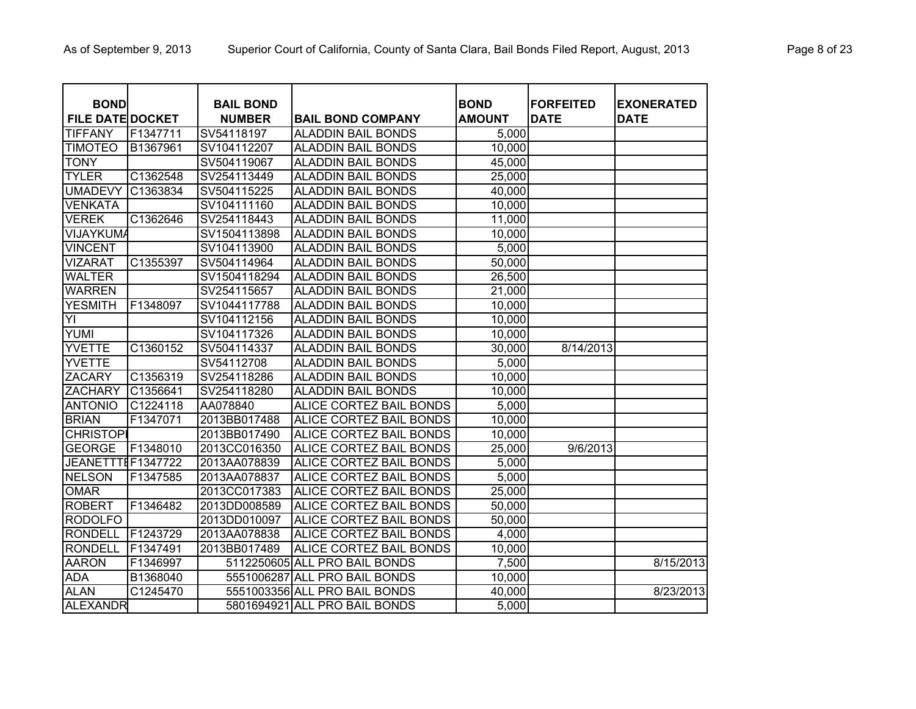| <b>BOND</b>             |                        | <b>BAIL BOND</b> |                                | <b>BOND</b>   | <b>FORFEITED</b> | <b>EXONERATED</b> |
|-------------------------|------------------------|------------------|--------------------------------|---------------|------------------|-------------------|
| <b>FILE DATE DOCKET</b> |                        | <b>NUMBER</b>    | <b>BAIL BOND COMPANY</b>       | <b>AMOUNT</b> | <b>DATE</b>      | <b>DATE</b>       |
| <b>TIFFANY</b>          | F1347711               | SV54118197       | <b>ALADDIN BAIL BONDS</b>      | 5,000         |                  |                   |
| <b>TIMOTEO</b>          | B1367961               | SV104112207      | <b>ALADDIN BAIL BONDS</b>      | 10,000        |                  |                   |
| <b>TONY</b>             |                        | SV504119067      | <b>ALADDIN BAIL BONDS</b>      | 45,000        |                  |                   |
| <b>TYLER</b>            | C1362548               | SV254113449      | <b>ALADDIN BAIL BONDS</b>      | 25,000        |                  |                   |
| <b>UMADEVY</b>          | C1363834               | SV504115225      | <b>ALADDIN BAIL BONDS</b>      | 40,000        |                  |                   |
| <b>VENKATA</b>          |                        | SV104111160      | <b>ALADDIN BAIL BONDS</b>      | 10,000        |                  |                   |
| <b>VEREK</b>            | C1362646               | SV254118443      | <b>ALADDIN BAIL BONDS</b>      | 11,000        |                  |                   |
| <b>VIJAYKUMA</b>        |                        | SV1504113898     | <b>ALADDIN BAIL BONDS</b>      | 10,000        |                  |                   |
| <b>VINCENT</b>          |                        | SV104113900      | <b>ALADDIN BAIL BONDS</b>      | 5,000         |                  |                   |
| <b>VIZARAT</b>          | C1355397               | SV504114964      | <b>ALADDIN BAIL BONDS</b>      | 50,000        |                  |                   |
| <b>WALTER</b>           |                        | SV1504118294     | <b>ALADDIN BAIL BONDS</b>      | 26,500        |                  |                   |
| <b>WARREN</b>           |                        | SV254115657      | <b>ALADDIN BAIL BONDS</b>      | 21,000        |                  |                   |
| <b>YESMITH</b>          | F1348097               | SV1044117788     | <b>ALADDIN BAIL BONDS</b>      | 10,000        |                  |                   |
| YI                      |                        | SV104112156      | <b>ALADDIN BAIL BONDS</b>      | 10,000        |                  |                   |
| <b>YUMI</b>             |                        | SV104117326      | <b>ALADDIN BAIL BONDS</b>      | 10,000        |                  |                   |
| <b>YVETTE</b>           | C1360152               | SV504114337      | <b>ALADDIN BAIL BONDS</b>      | 30,000        | 8/14/2013        |                   |
| <b>YVETTE</b>           |                        | SV54112708       | <b>ALADDIN BAIL BONDS</b>      | 5,000         |                  |                   |
| <b>ZACARY</b>           | C1356319               | SV254118286      | <b>ALADDIN BAIL BONDS</b>      | 10,000        |                  |                   |
| <b>ZACHARY</b>          | C1356641               | SV254118280      | <b>ALADDIN BAIL BONDS</b>      | 10,000        |                  |                   |
| <b>ANTONIO</b>          | C1224118               | AA078840         | ALICE CORTEZ BAIL BONDS        | 5,000         |                  |                   |
| <b>BRIAN</b>            | F1347071               | 2013BB017488     | ALICE CORTEZ BAIL BONDS        | 10,000        |                  |                   |
| <b>CHRISTOP</b>         |                        | 2013BB017490     | ALICE CORTEZ BAIL BONDS        | 10,000        |                  |                   |
| <b>GEORGE</b>           | F1348010               | 2013CC016350     | ALICE CORTEZ BAIL BONDS        | 25,000        | 9/6/2013         |                   |
| JEANETTTEF1347722       |                        | 2013AA078839     | ALICE CORTEZ BAIL BONDS        | 5,000         |                  |                   |
| <b>NELSON</b>           | F1347585               | 2013AA078837     | <b>ALICE CORTEZ BAIL BONDS</b> | 5,000         |                  |                   |
| <b>OMAR</b>             |                        | 2013CC017383     | <b>ALICE CORTEZ BAIL BONDS</b> | 25,000        |                  |                   |
| <b>ROBERT</b>           | F1346482               | 2013DD008589     | <b>ALICE CORTEZ BAIL BONDS</b> | 50,000        |                  |                   |
| <b>RODOLFO</b>          |                        | 2013DD010097     | <b>ALICE CORTEZ BAIL BONDS</b> | 50,000        |                  |                   |
| <b>RONDELL</b>          | F1243729               | 2013AA078838     | ALICE CORTEZ BAIL BONDS        | 4,000         |                  |                   |
| <b>RONDELL</b>          | F1347491               | 2013BB017489     | ALICE CORTEZ BAIL BONDS        | 10,000        |                  |                   |
| <b>AARON</b>            | F1346997               |                  | 5112250605 ALL PRO BAIL BONDS  | 7,500         |                  | 8/15/2013         |
| <b>ADA</b>              | B1368040               |                  | 5551006287 ALL PRO BAIL BONDS  | 10,000        |                  |                   |
| <b>ALAN</b>             | $\overline{C}$ 1245470 |                  | 5551003356 ALL PRO BAIL BONDS  | 40,000        |                  | 8/23/2013         |
| <b>ALEXANDR</b>         |                        |                  | 5801694921 ALL PRO BAIL BONDS  | 5,000         |                  |                   |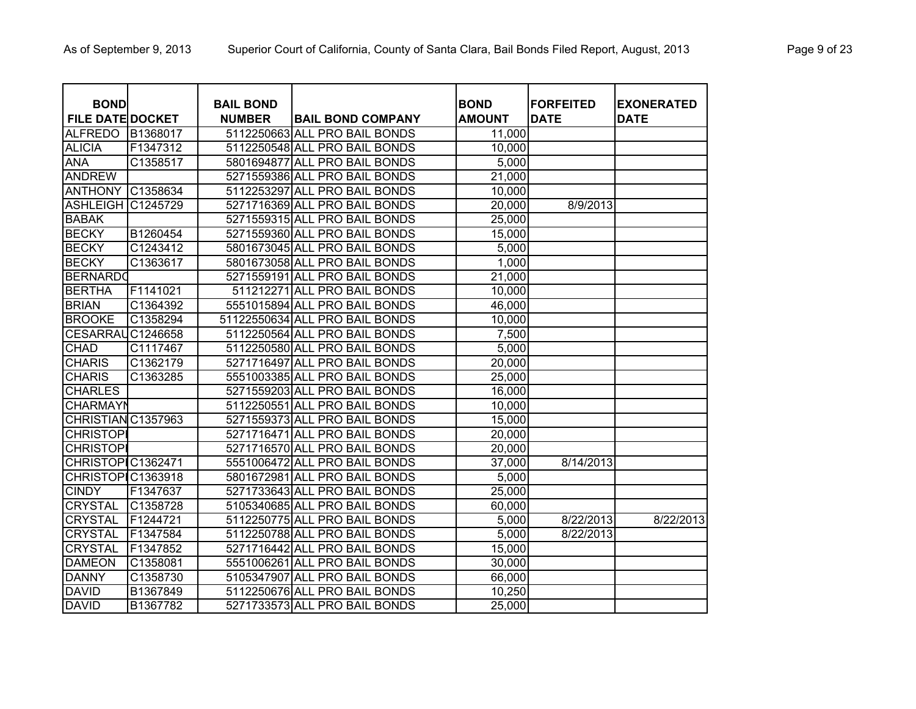| <b>BOND</b>             |          | <b>BAIL BOND</b> |                                | <b>BOND</b>   | <b>FORFEITED</b> | <b>EXONERATED</b> |
|-------------------------|----------|------------------|--------------------------------|---------------|------------------|-------------------|
| <b>FILE DATE DOCKET</b> |          | <b>NUMBER</b>    | <b>BAIL BOND COMPANY</b>       | <b>AMOUNT</b> | <b>DATE</b>      | <b>DATE</b>       |
| <b>ALFREDO</b>          | B1368017 |                  | 5112250663 ALL PRO BAIL BONDS  | 11,000        |                  |                   |
| <b>ALICIA</b>           | F1347312 |                  | 5112250548 ALL PRO BAIL BONDS  | 10,000        |                  |                   |
| <b>ANA</b>              | C1358517 |                  | 5801694877 ALL PRO BAIL BONDS  | 5,000         |                  |                   |
| <b>ANDREW</b>           |          |                  | 5271559386 ALL PRO BAIL BONDS  | 21,000        |                  |                   |
| <b>ANTHONY</b>          | C1358634 |                  | 5112253297 ALL PRO BAIL BONDS  | 10,000        |                  |                   |
| <b>ASHLEIGH</b>         | C1245729 |                  | 5271716369 ALL PRO BAIL BONDS  | 20,000        | 8/9/2013         |                   |
| <b>BABAK</b>            |          |                  | 5271559315 ALL PRO BAIL BONDS  | 25,000        |                  |                   |
| <b>BECKY</b>            | B1260454 |                  | 5271559360 ALL PRO BAIL BONDS  | 15,000        |                  |                   |
| <b>BECKY</b>            | C1243412 |                  | 5801673045 ALL PRO BAIL BONDS  | 5,000         |                  |                   |
| <b>BECKY</b>            | C1363617 |                  | 5801673058 ALL PRO BAIL BONDS  | 1,000         |                  |                   |
| <b>BERNARDO</b>         |          |                  | 5271559191 ALL PRO BAIL BONDS  | 21,000        |                  |                   |
| <b>BERTHA</b>           | F1141021 |                  | 511212271 ALL PRO BAIL BONDS   | 10,000        |                  |                   |
| <b>BRIAN</b>            | C1364392 |                  | 5551015894 ALL PRO BAIL BONDS  | 46,000        |                  |                   |
| <b>BROOKE</b>           | C1358294 |                  | 51122550634 ALL PRO BAIL BONDS | 10,000        |                  |                   |
| <b>CESARRAI</b>         | C1246658 |                  | 5112250564 ALL PRO BAIL BONDS  | 7,500         |                  |                   |
| <b>CHAD</b>             | C1117467 |                  | 5112250580 ALL PRO BAIL BONDS  | 5,000         |                  |                   |
| <b>CHARIS</b>           | C1362179 |                  | 5271716497 ALL PRO BAIL BONDS  | 20,000        |                  |                   |
| <b>CHARIS</b>           | C1363285 |                  | 5551003385 ALL PRO BAIL BONDS  | 25,000        |                  |                   |
| <b>CHARLES</b>          |          |                  | 5271559203 ALL PRO BAIL BONDS  | 16,000        |                  |                   |
| <b>CHARMAYN</b>         |          |                  | 5112250551 ALL PRO BAIL BONDS  | 10,000        |                  |                   |
| CHRISTIAN C1357963      |          |                  | 5271559373 ALL PRO BAIL BONDS  | 15,000        |                  |                   |
| <b>CHRISTOP</b>         |          |                  | 5271716471 ALL PRO BAIL BONDS  | 20,000        |                  |                   |
| <b>CHRISTOPI</b>        |          |                  | 5271716570 ALL PRO BAIL BONDS  | 20,000        |                  |                   |
| CHRISTOPIC1362471       |          |                  | 5551006472 ALL PRO BAIL BONDS  | 37,000        | 8/14/2013        |                   |
| CHRISTOPIC1363918       |          |                  | 5801672981 ALL PRO BAIL BONDS  | 5,000         |                  |                   |
| <b>CINDY</b>            | F1347637 |                  | 5271733643 ALL PRO BAIL BONDS  | 25,000        |                  |                   |
| <b>CRYSTAL</b>          | C1358728 |                  | 5105340685 ALL PRO BAIL BONDS  | 60,000        |                  |                   |
| <b>CRYSTAL</b>          | F1244721 |                  | 5112250775 ALL PRO BAIL BONDS  | 5,000         | 8/22/2013        | 8/22/2013         |
| <b>CRYSTAL</b>          | F1347584 |                  | 5112250788 ALL PRO BAIL BONDS  | 5,000         | 8/22/2013        |                   |
| <b>CRYSTAL</b>          | F1347852 |                  | 5271716442 ALL PRO BAIL BONDS  | 15,000        |                  |                   |
| <b>DAMEON</b>           | C1358081 |                  | 5551006261 ALL PRO BAIL BONDS  | 30,000        |                  |                   |
| <b>DANNY</b>            | C1358730 |                  | 5105347907 ALL PRO BAIL BONDS  | 66,000        |                  |                   |
| <b>DAVID</b>            | B1367849 |                  | 5112250676 ALL PRO BAIL BONDS  | 10,250        |                  |                   |
| <b>DAVID</b>            | B1367782 |                  | 5271733573 ALL PRO BAIL BONDS  | 25,000        |                  |                   |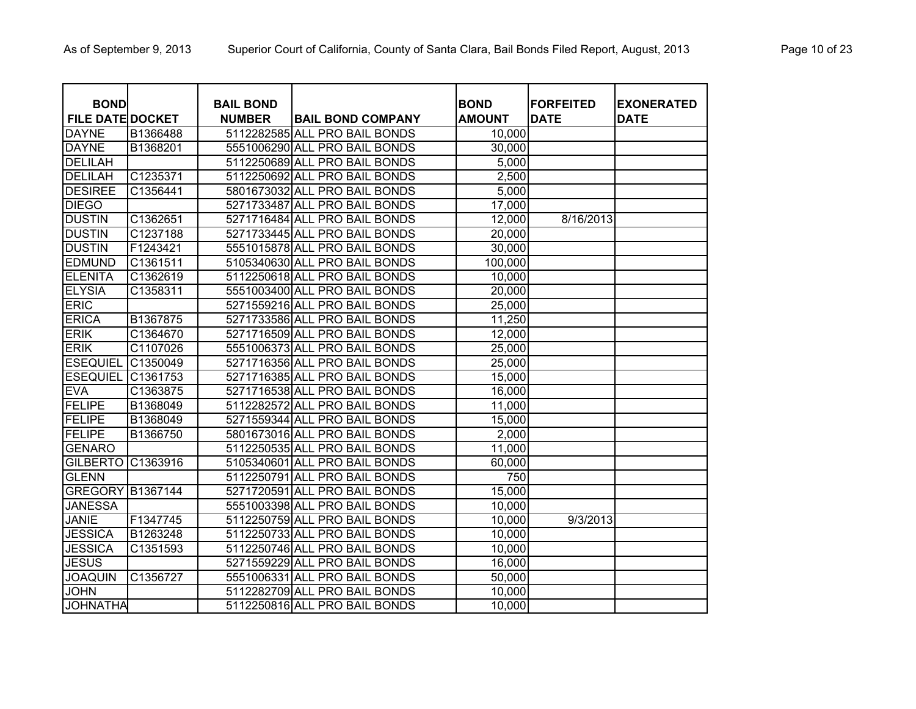| <b>BOND</b>             |          | <b>BAIL BOND</b> |                               | <b>BOND</b>   | <b>FORFEITED</b> | <b>EXONERATED</b> |
|-------------------------|----------|------------------|-------------------------------|---------------|------------------|-------------------|
| <b>FILE DATE DOCKET</b> |          | <b>NUMBER</b>    | <b>BAIL BOND COMPANY</b>      | <b>AMOUNT</b> | <b>DATE</b>      | <b>DATE</b>       |
| <b>DAYNE</b>            | B1366488 |                  | 5112282585 ALL PRO BAIL BONDS | 10,000        |                  |                   |
| <b>DAYNE</b>            | B1368201 |                  | 5551006290 ALL PRO BAIL BONDS | 30,000        |                  |                   |
| <b>DELILAH</b>          |          |                  | 5112250689 ALL PRO BAIL BONDS | 5,000         |                  |                   |
| <b>DELILAH</b>          | C1235371 |                  | 5112250692 ALL PRO BAIL BONDS | 2,500         |                  |                   |
| <b>DESIREE</b>          | C1356441 |                  | 5801673032 ALL PRO BAIL BONDS | 5,000         |                  |                   |
| <b>DIEGO</b>            |          |                  | 5271733487 ALL PRO BAIL BONDS | 17,000        |                  |                   |
| <b>DUSTIN</b>           | C1362651 |                  | 5271716484 ALL PRO BAIL BONDS | 12,000        | 8/16/2013        |                   |
| <b>DUSTIN</b>           | C1237188 |                  | 5271733445 ALL PRO BAIL BONDS | 20,000        |                  |                   |
| <b>DUSTIN</b>           | F1243421 |                  | 5551015878 ALL PRO BAIL BONDS | 30,000        |                  |                   |
| <b>EDMUND</b>           | C1361511 |                  | 5105340630 ALL PRO BAIL BONDS | 100,000       |                  |                   |
| <b>ELENITA</b>          | C1362619 |                  | 5112250618 ALL PRO BAIL BONDS | 10,000        |                  |                   |
| <b>ELYSIA</b>           | C1358311 |                  | 5551003400 ALL PRO BAIL BONDS | 20,000        |                  |                   |
| <b>ERIC</b>             |          |                  | 5271559216 ALL PRO BAIL BONDS | 25,000        |                  |                   |
| <b>ERICA</b>            | B1367875 |                  | 5271733586 ALL PRO BAIL BONDS | 11,250        |                  |                   |
| <b>ERIK</b>             | C1364670 |                  | 5271716509 ALL PRO BAIL BONDS | 12,000        |                  |                   |
| <b>ERIK</b>             | C1107026 |                  | 5551006373 ALL PRO BAIL BONDS | 25,000        |                  |                   |
| <b>ESEQUIEL</b>         | C1350049 |                  | 5271716356 ALL PRO BAIL BONDS | 25,000        |                  |                   |
| <b>ESEQUIEL</b>         | C1361753 |                  | 5271716385 ALL PRO BAIL BONDS | 15,000        |                  |                   |
| <b>EVA</b>              | C1363875 |                  | 5271716538 ALL PRO BAIL BONDS | 16,000        |                  |                   |
| FELIPE                  | B1368049 |                  | 5112282572 ALL PRO BAIL BONDS | 11,000        |                  |                   |
| FELIPE                  | B1368049 |                  | 5271559344 ALL PRO BAIL BONDS | 15,000        |                  |                   |
| FELIPE                  | B1366750 |                  | 5801673016 ALL PRO BAIL BONDS | 2,000         |                  |                   |
| <b>GENARO</b>           |          |                  | 5112250535 ALL PRO BAIL BONDS | 11,000        |                  |                   |
| <b>GILBERTO</b>         | C1363916 |                  | 5105340601 ALL PRO BAIL BONDS | 60,000        |                  |                   |
| <b>GLENN</b>            |          |                  | 5112250791 ALL PRO BAIL BONDS | 750           |                  |                   |
| <b>GREGORY B1367144</b> |          |                  | 5271720591 ALL PRO BAIL BONDS | 15,000        |                  |                   |
| <b>JANESSA</b>          |          |                  | 5551003398 ALL PRO BAIL BONDS | 10,000        |                  |                   |
| <b>JANIE</b>            | F1347745 |                  | 5112250759 ALL PRO BAIL BONDS | 10,000        | 9/3/2013         |                   |
| <b>JESSICA</b>          | B1263248 |                  | 5112250733 ALL PRO BAIL BONDS | 10,000        |                  |                   |
| <b>JESSICA</b>          | C1351593 |                  | 5112250746 ALL PRO BAIL BONDS | 10,000        |                  |                   |
| <b>JESUS</b>            |          |                  | 5271559229 ALL PRO BAIL BONDS | 16,000        |                  |                   |
| <b>JOAQUIN</b>          | C1356727 |                  | 5551006331 ALL PRO BAIL BONDS | 50,000        |                  |                   |
| <b>JOHN</b>             |          |                  | 5112282709 ALL PRO BAIL BONDS | 10,000        |                  |                   |
| <b>JOHNATHA</b>         |          |                  | 5112250816 ALL PRO BAIL BONDS | 10,000        |                  |                   |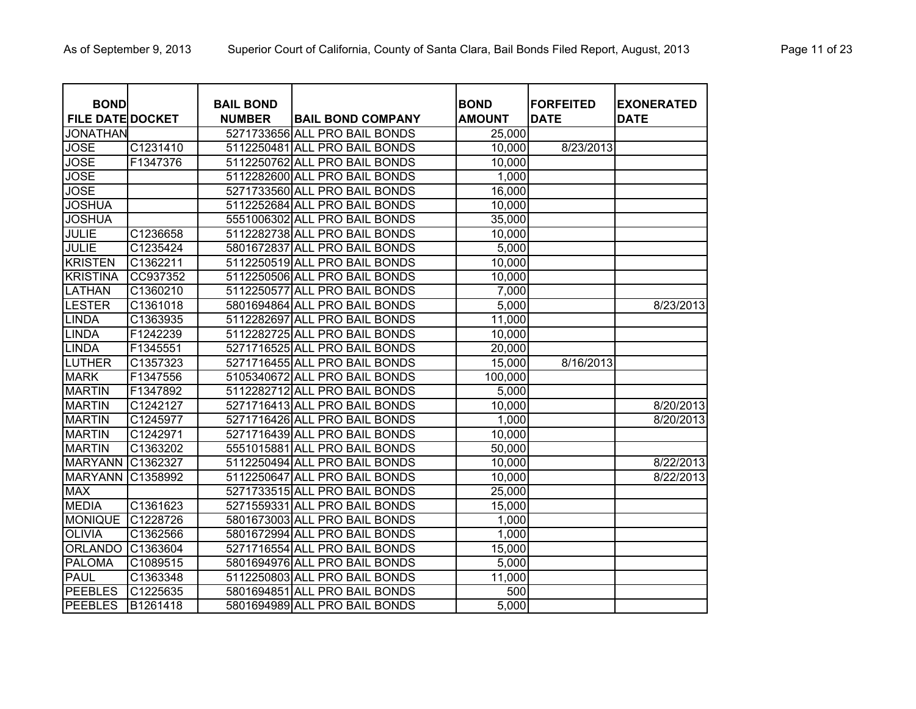| <b>BOND</b><br><b>FILE DATE DOCKET</b> |          | <b>BAIL BOND</b><br><b>NUMBER</b> | <b>BAIL BOND COMPANY</b>      | <b>BOND</b><br><b>AMOUNT</b> | <b>FORFEITED</b><br><b>DATE</b> | <b>EXONERATED</b><br><b>DATE</b> |
|----------------------------------------|----------|-----------------------------------|-------------------------------|------------------------------|---------------------------------|----------------------------------|
| <b>JONATHAN</b>                        |          |                                   | 5271733656 ALL PRO BAIL BONDS | 25,000                       |                                 |                                  |
| <b>JOSE</b>                            | C1231410 |                                   | 5112250481 ALL PRO BAIL BONDS | 10,000                       | 8/23/2013                       |                                  |
| <b>JOSE</b>                            | F1347376 |                                   | 5112250762 ALL PRO BAIL BONDS | 10,000                       |                                 |                                  |
| <b>JOSE</b>                            |          |                                   | 5112282600 ALL PRO BAIL BONDS | 1,000                        |                                 |                                  |
| <b>JOSE</b>                            |          |                                   | 5271733560 ALL PRO BAIL BONDS | 16,000                       |                                 |                                  |
| <b>JOSHUA</b>                          |          |                                   | 5112252684 ALL PRO BAIL BONDS | 10,000                       |                                 |                                  |
| <b>JOSHUA</b>                          |          |                                   | 5551006302 ALL PRO BAIL BONDS | 35,000                       |                                 |                                  |
| <b>JULIE</b>                           | C1236658 |                                   | 5112282738 ALL PRO BAIL BONDS | 10,000                       |                                 |                                  |
| <b>JULIE</b>                           | C1235424 |                                   | 5801672837 ALL PRO BAIL BONDS | 5,000                        |                                 |                                  |
| <b>KRISTEN</b>                         | C1362211 |                                   | 5112250519 ALL PRO BAIL BONDS | 10,000                       |                                 |                                  |
| <b>KRISTINA</b>                        | CC937352 |                                   | 5112250506 ALL PRO BAIL BONDS | 10,000                       |                                 |                                  |
| <b>LATHAN</b>                          | C1360210 |                                   | 5112250577 ALL PRO BAIL BONDS | 7,000                        |                                 |                                  |
| <b>LESTER</b>                          | C1361018 |                                   | 5801694864 ALL PRO BAIL BONDS | 5,000                        |                                 | 8/23/2013                        |
| <b>LINDA</b>                           | C1363935 |                                   | 5112282697 ALL PRO BAIL BONDS | 11,000                       |                                 |                                  |
| LINDA                                  | F1242239 |                                   | 5112282725 ALL PRO BAIL BONDS | 10,000                       |                                 |                                  |
| <b>LINDA</b>                           | F1345551 |                                   | 5271716525 ALL PRO BAIL BONDS | 20,000                       |                                 |                                  |
| LUTHER                                 | C1357323 |                                   | 5271716455 ALL PRO BAIL BONDS | 15,000                       | 8/16/2013                       |                                  |
| <b>MARK</b>                            | F1347556 |                                   | 5105340672 ALL PRO BAIL BONDS | 100,000                      |                                 |                                  |
| <b>MARTIN</b>                          | F1347892 |                                   | 5112282712 ALL PRO BAIL BONDS | 5,000                        |                                 |                                  |
| <b>MARTIN</b>                          | C1242127 |                                   | 5271716413 ALL PRO BAIL BONDS | 10,000                       |                                 | 8/20/2013                        |
| <b>MARTIN</b>                          | C1245977 |                                   | 5271716426 ALL PRO BAIL BONDS | 1,000                        |                                 | 8/20/2013                        |
| <b>MARTIN</b>                          | C1242971 |                                   | 5271716439 ALL PRO BAIL BONDS | 10,000                       |                                 |                                  |
| <b>MARTIN</b>                          | C1363202 |                                   | 5551015881 ALL PRO BAIL BONDS | 50,000                       |                                 |                                  |
| <b>MARYANN</b>                         | C1362327 |                                   | 5112250494 ALL PRO BAIL BONDS | 10,000                       |                                 | 8/22/2013                        |
| <b>MARYANN</b>                         | C1358992 |                                   | 5112250647 ALL PRO BAIL BONDS | 10,000                       |                                 | 8/22/2013                        |
| <b>MAX</b>                             |          |                                   | 5271733515 ALL PRO BAIL BONDS | 25,000                       |                                 |                                  |
| <b>MEDIA</b>                           | C1361623 |                                   | 5271559331 ALL PRO BAIL BONDS | 15,000                       |                                 |                                  |
| <b>MONIQUE</b>                         | C1228726 |                                   | 5801673003 ALL PRO BAIL BONDS | 1,000                        |                                 |                                  |
| <b>OLIVIA</b>                          | C1362566 |                                   | 5801672994 ALL PRO BAIL BONDS | 1,000                        |                                 |                                  |
| <b>ORLANDO</b>                         | C1363604 |                                   | 5271716554 ALL PRO BAIL BONDS | 15,000                       |                                 |                                  |
| <b>PALOMA</b>                          | C1089515 |                                   | 5801694976 ALL PRO BAIL BONDS | 5,000                        |                                 |                                  |
| <b>PAUL</b>                            | C1363348 |                                   | 5112250803 ALL PRO BAIL BONDS | 11,000                       |                                 |                                  |
| <b>PEEBLES</b>                         | C1225635 |                                   | 5801694851 ALL PRO BAIL BONDS | 500                          |                                 |                                  |
| <b>PEEBLES</b>                         | B1261418 |                                   | 5801694989 ALL PRO BAIL BONDS | 5,000                        |                                 |                                  |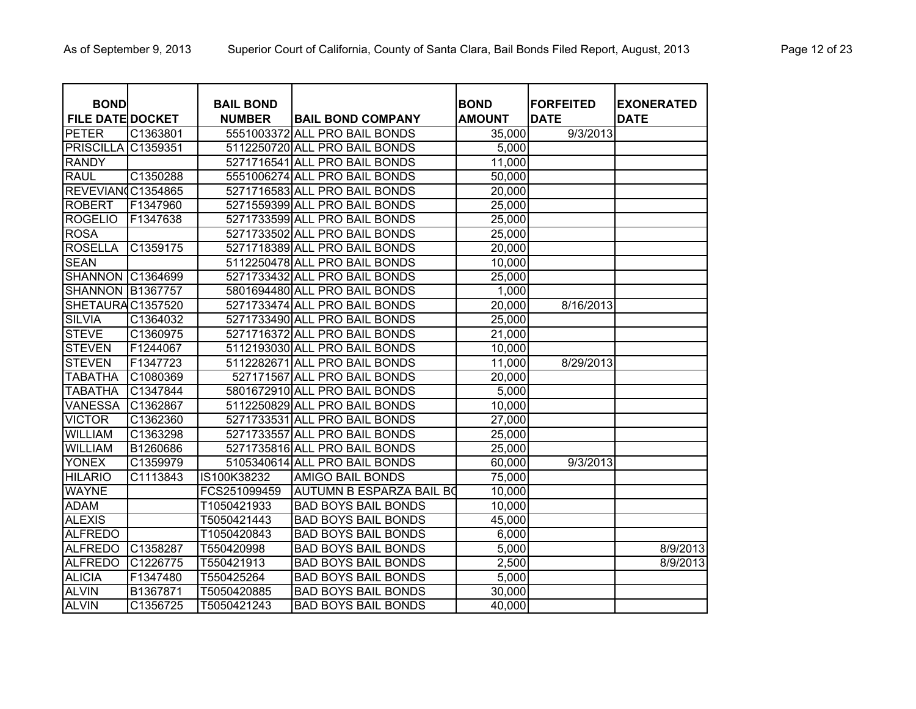| <b>BOND</b>             |          | <b>BAIL BOND</b> |                                 | <b>BOND</b>   | <b>FORFEITED</b> | <b>EXONERATED</b> |
|-------------------------|----------|------------------|---------------------------------|---------------|------------------|-------------------|
| <b>FILE DATE DOCKET</b> |          | <b>NUMBER</b>    | <b>BAIL BOND COMPANY</b>        | <b>AMOUNT</b> | <b>DATE</b>      | <b>DATE</b>       |
| <b>PETER</b>            | C1363801 |                  | 5551003372 ALL PRO BAIL BONDS   | 35,000        | 9/3/2013         |                   |
| PRISCILLA               | C1359351 |                  | 5112250720 ALL PRO BAIL BONDS   | 5,000         |                  |                   |
| <b>RANDY</b>            |          |                  | 5271716541 ALL PRO BAIL BONDS   | 11,000        |                  |                   |
| <b>RAUL</b>             | C1350288 |                  | 5551006274 ALL PRO BAIL BONDS   | 50,000        |                  |                   |
| REVEVIAN(C1354865       |          |                  | 5271716583 ALL PRO BAIL BONDS   | 20,000        |                  |                   |
| <b>ROBERT</b>           | F1347960 |                  | 5271559399 ALL PRO BAIL BONDS   | 25,000        |                  |                   |
| <b>ROGELIO</b>          | F1347638 |                  | 5271733599 ALL PRO BAIL BONDS   | 25,000        |                  |                   |
| <b>ROSA</b>             |          |                  | 5271733502 ALL PRO BAIL BONDS   | 25,000        |                  |                   |
| <b>ROSELLA</b>          | C1359175 |                  | 5271718389 ALL PRO BAIL BONDS   | 20,000        |                  |                   |
| <b>SEAN</b>             |          |                  | 5112250478 ALL PRO BAIL BONDS   | 10,000        |                  |                   |
| <b>SHANNON</b>          | C1364699 |                  | 5271733432 ALL PRO BAIL BONDS   | 25,000        |                  |                   |
| <b>SHANNON B1367757</b> |          |                  | 5801694480 ALL PRO BAIL BONDS   | 1,000         |                  |                   |
| SHETAURAC1357520        |          |                  | 5271733474 ALL PRO BAIL BONDS   | 20,000        | 8/16/2013        |                   |
| <b>SILVIA</b>           | C1364032 |                  | 5271733490 ALL PRO BAIL BONDS   | 25,000        |                  |                   |
| <b>STEVE</b>            | C1360975 |                  | 5271716372 ALL PRO BAIL BONDS   | 21,000        |                  |                   |
| <b>STEVEN</b>           | F1244067 |                  | 5112193030 ALL PRO BAIL BONDS   | 10,000        |                  |                   |
| <b>STEVEN</b>           | F1347723 |                  | 5112282671 ALL PRO BAIL BONDS   | 11,000        | 8/29/2013        |                   |
| <b>TABATHA</b>          | C1080369 |                  | 527171567 ALL PRO BAIL BONDS    | 20,000        |                  |                   |
| <b>TABATHA</b>          | C1347844 |                  | 5801672910 ALL PRO BAIL BONDS   | 5,000         |                  |                   |
| <b>VANESSA</b>          | C1362867 |                  | 5112250829 ALL PRO BAIL BONDS   | 10,000        |                  |                   |
| <b>VICTOR</b>           | C1362360 |                  | 5271733531 ALL PRO BAIL BONDS   | 27,000        |                  |                   |
| <b>WILLIAM</b>          | C1363298 |                  | 5271733557 ALL PRO BAIL BONDS   | 25,000        |                  |                   |
| <b>WILLIAM</b>          | B1260686 |                  | 5271735816 ALL PRO BAIL BONDS   | 25,000        |                  |                   |
| <b>YONEX</b>            | C1359979 |                  | 5105340614 ALL PRO BAIL BONDS   | 60,000        | 9/3/2013         |                   |
| <b>HILARIO</b>          | C1113843 | IS100K38232      | AMIGO BAIL BONDS                | 75,000        |                  |                   |
| <b>WAYNE</b>            |          | FCS251099459     | <b>AUTUMN B ESPARZA BAIL BO</b> | 10,000        |                  |                   |
| <b>ADAM</b>             |          | T1050421933      | <b>BAD BOYS BAIL BONDS</b>      | 10,000        |                  |                   |
| <b>ALEXIS</b>           |          | T5050421443      | <b>BAD BOYS BAIL BONDS</b>      | 45,000        |                  |                   |
| <b>ALFREDO</b>          |          | T1050420843      | <b>BAD BOYS BAIL BONDS</b>      | 6,000         |                  |                   |
| <b>ALFREDO</b>          | C1358287 | T550420998       | <b>BAD BOYS BAIL BONDS</b>      | 5,000         |                  | 8/9/2013          |
| <b>ALFREDO</b>          | C1226775 | T550421913       | <b>BAD BOYS BAIL BONDS</b>      | 2,500         |                  | 8/9/2013          |
| <b>ALICIA</b>           | F1347480 | T550425264       | <b>BAD BOYS BAIL BONDS</b>      | 5,000         |                  |                   |
| <b>ALVIN</b>            | B1367871 | T5050420885      | <b>BAD BOYS BAIL BONDS</b>      | 30,000        |                  |                   |
| <b>ALVIN</b>            | C1356725 | T5050421243      | <b>BAD BOYS BAIL BONDS</b>      | 40,000        |                  |                   |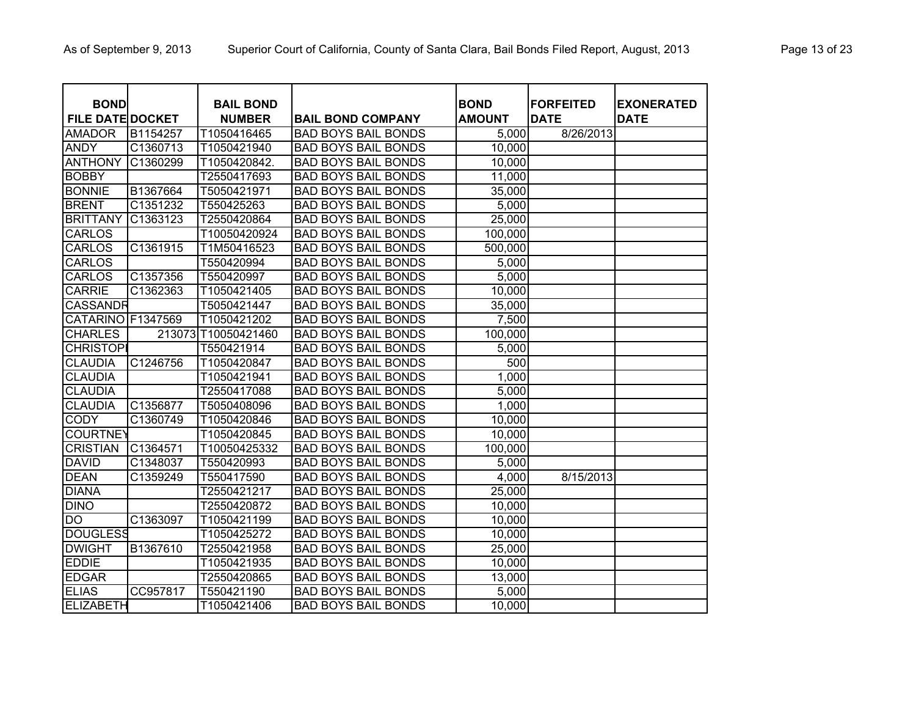| <b>BOND</b>             |          | <b>BAIL BOND</b>    |                            | <b>BOND</b>   | <b>FORFEITED</b> | <b>EXONERATED</b> |
|-------------------------|----------|---------------------|----------------------------|---------------|------------------|-------------------|
| <b>FILE DATE DOCKET</b> |          | <b>NUMBER</b>       | <b>BAIL BOND COMPANY</b>   | <b>AMOUNT</b> | <b>DATE</b>      | <b>DATE</b>       |
| <b>AMADOR</b>           | B1154257 | T1050416465         | <b>BAD BOYS BAIL BONDS</b> | 5,000         | 8/26/2013        |                   |
| <b>ANDY</b>             | C1360713 | T1050421940         | <b>BAD BOYS BAIL BONDS</b> | 10,000        |                  |                   |
| <b>ANTHONY</b>          | C1360299 | T1050420842.        | <b>BAD BOYS BAIL BONDS</b> | 10,000        |                  |                   |
| <b>BOBBY</b>            |          | T2550417693         | <b>BAD BOYS BAIL BONDS</b> | 11,000        |                  |                   |
| <b>BONNIE</b>           | B1367664 | T5050421971         | <b>BAD BOYS BAIL BONDS</b> | 35,000        |                  |                   |
| <b>BRENT</b>            | C1351232 | T550425263          | <b>BAD BOYS BAIL BONDS</b> | 5,000         |                  |                   |
| <b>BRITTANY</b>         | C1363123 | T2550420864         | <b>BAD BOYS BAIL BONDS</b> | 25,000        |                  |                   |
| <b>CARLOS</b>           |          | T10050420924        | <b>BAD BOYS BAIL BONDS</b> | 100,000       |                  |                   |
| <b>CARLOS</b>           | C1361915 | T1M50416523         | <b>BAD BOYS BAIL BONDS</b> | 500,000       |                  |                   |
| <b>CARLOS</b>           |          | T550420994          | <b>BAD BOYS BAIL BONDS</b> | 5,000         |                  |                   |
| <b>CARLOS</b>           | C1357356 | T550420997          | <b>BAD BOYS BAIL BONDS</b> | 5,000         |                  |                   |
| <b>CARRIE</b>           | C1362363 | T1050421405         | <b>BAD BOYS BAIL BONDS</b> | 10,000        |                  |                   |
| <b>CASSANDR</b>         |          | T5050421447         | <b>BAD BOYS BAIL BONDS</b> | 35,000        |                  |                   |
| CATARINO F1347569       |          | T1050421202         | <b>BAD BOYS BAIL BONDS</b> | 7,500         |                  |                   |
| <b>CHARLES</b>          |          | 213073 T10050421460 | <b>BAD BOYS BAIL BONDS</b> | 100,000       |                  |                   |
| <b>CHRISTOP</b>         |          | T550421914          | <b>BAD BOYS BAIL BONDS</b> | 5,000         |                  |                   |
| <b>CLAUDIA</b>          | C1246756 | T1050420847         | <b>BAD BOYS BAIL BONDS</b> | 500           |                  |                   |
| <b>CLAUDIA</b>          |          | T1050421941         | <b>BAD BOYS BAIL BONDS</b> | 1,000         |                  |                   |
| <b>CLAUDIA</b>          |          | T2550417088         | <b>BAD BOYS BAIL BONDS</b> | 5,000         |                  |                   |
| <b>CLAUDIA</b>          | C1356877 | T5050408096         | <b>BAD BOYS BAIL BONDS</b> | 1,000         |                  |                   |
| <b>CODY</b>             | C1360749 | T1050420846         | <b>BAD BOYS BAIL BONDS</b> | 10,000        |                  |                   |
| <b>COURTNEY</b>         |          | T1050420845         | <b>BAD BOYS BAIL BONDS</b> | 10,000        |                  |                   |
| <b>CRISTIAN</b>         | C1364571 | T10050425332        | <b>BAD BOYS BAIL BONDS</b> | 100,000       |                  |                   |
| <b>DAVID</b>            | C1348037 | T550420993          | <b>BAD BOYS BAIL BONDS</b> | 5,000         |                  |                   |
| <b>DEAN</b>             | C1359249 | T550417590          | <b>BAD BOYS BAIL BONDS</b> | 4,000         | 8/15/2013        |                   |
| <b>DIANA</b>            |          | T2550421217         | <b>BAD BOYS BAIL BONDS</b> | 25,000        |                  |                   |
| <b>DINO</b>             |          | T2550420872         | <b>BAD BOYS BAIL BONDS</b> | 10,000        |                  |                   |
| <b>DO</b>               | C1363097 | T1050421199         | <b>BAD BOYS BAIL BONDS</b> | 10,000        |                  |                   |
| <b>DOUGLESS</b>         |          | T1050425272         | <b>BAD BOYS BAIL BONDS</b> | 10,000        |                  |                   |
| <b>DWIGHT</b>           | B1367610 | T2550421958         | <b>BAD BOYS BAIL BONDS</b> | 25,000        |                  |                   |
| <b>EDDIE</b>            |          | T1050421935         | <b>BAD BOYS BAIL BONDS</b> | 10,000        |                  |                   |
| <b>EDGAR</b>            |          | T2550420865         | <b>BAD BOYS BAIL BONDS</b> | 13,000        |                  |                   |
| <b>ELIAS</b>            | CC957817 | T550421190          | <b>BAD BOYS BAIL BONDS</b> | 5,000         |                  |                   |
| <b>ELIZABETH</b>        |          | T1050421406         | <b>BAD BOYS BAIL BONDS</b> | 10,000        |                  |                   |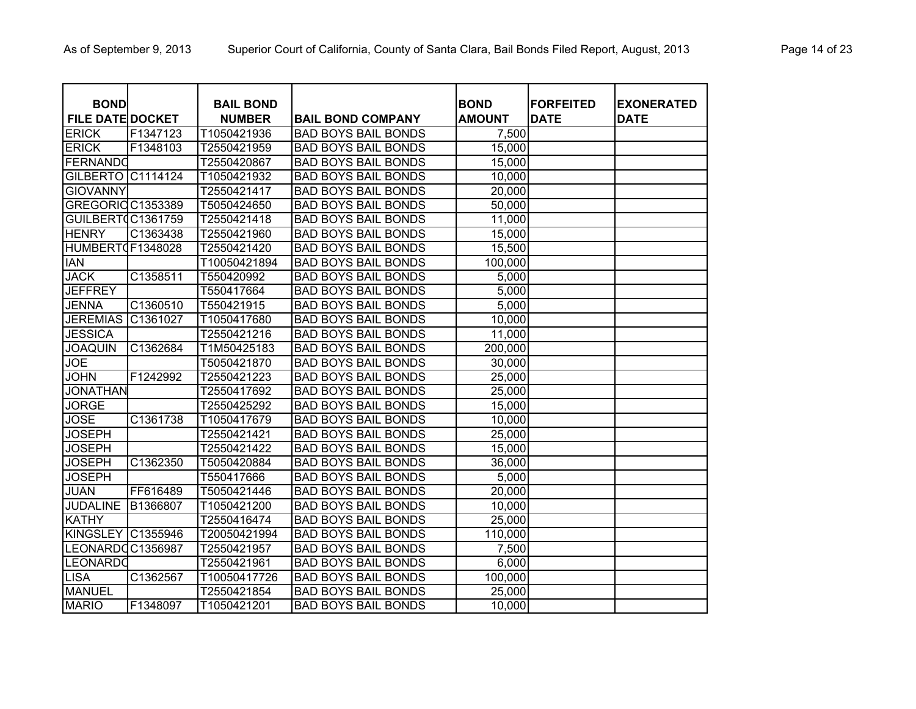| <b>BOND</b>              |          | <b>BAIL BOND</b> |                            | <b>BOND</b>   | <b>FORFEITED</b> | <b>EXONERATED</b> |
|--------------------------|----------|------------------|----------------------------|---------------|------------------|-------------------|
| <b>FILE DATE DOCKET</b>  |          | <b>NUMBER</b>    | <b>BAIL BOND COMPANY</b>   | <b>AMOUNT</b> | <b>DATE</b>      | <b>DATE</b>       |
| <b>ERICK</b>             | F1347123 | T1050421936      | <b>BAD BOYS BAIL BONDS</b> | 7,500         |                  |                   |
| <b>ERICK</b>             | F1348103 | T2550421959      | <b>BAD BOYS BAIL BONDS</b> | 15,000        |                  |                   |
| FERNANDO                 |          | T2550420867      | <b>BAD BOYS BAIL BONDS</b> | 15,000        |                  |                   |
| <b>GILBERTO C1114124</b> |          | T1050421932      | <b>BAD BOYS BAIL BONDS</b> | 10,000        |                  |                   |
| <b>GIOVANNY</b>          |          | T2550421417      | <b>BAD BOYS BAIL BONDS</b> | 20,000        |                  |                   |
| GREGORIO C1353389        |          | T5050424650      | <b>BAD BOYS BAIL BONDS</b> | 50,000        |                  |                   |
| GUILBERTOC1361759        |          | T2550421418      | <b>BAD BOYS BAIL BONDS</b> | 11,000        |                  |                   |
| <b>HENRY</b>             | C1363438 | T2550421960      | <b>BAD BOYS BAIL BONDS</b> | 15,000        |                  |                   |
| HUMBERT0F1348028         |          | T2550421420      | <b>BAD BOYS BAIL BONDS</b> | 15,500        |                  |                   |
| <b>IAN</b>               |          | T10050421894     | <b>BAD BOYS BAIL BONDS</b> | 100,000       |                  |                   |
| <b>JACK</b>              | C1358511 | T550420992       | <b>BAD BOYS BAIL BONDS</b> | 5,000         |                  |                   |
| <b>JEFFREY</b>           |          | T550417664       | <b>BAD BOYS BAIL BONDS</b> | 5,000         |                  |                   |
| <b>JENNA</b>             | C1360510 | T550421915       | <b>BAD BOYS BAIL BONDS</b> | 5,000         |                  |                   |
| <b>JEREMIAS</b>          | C1361027 | T1050417680      | <b>BAD BOYS BAIL BONDS</b> | 10,000        |                  |                   |
| <b>JESSICA</b>           |          | T2550421216      | <b>BAD BOYS BAIL BONDS</b> | 11,000        |                  |                   |
| <b>JOAQUIN</b>           | C1362684 | T1M50425183      | <b>BAD BOYS BAIL BONDS</b> | 200,000       |                  |                   |
| <b>JOE</b>               |          | T5050421870      | <b>BAD BOYS BAIL BONDS</b> | 30,000        |                  |                   |
| <b>JOHN</b>              | F1242992 | T2550421223      | <b>BAD BOYS BAIL BONDS</b> | 25,000        |                  |                   |
| <b>JONATHAN</b>          |          | T2550417692      | <b>BAD BOYS BAIL BONDS</b> | 25,000        |                  |                   |
| <b>JORGE</b>             |          | T2550425292      | <b>BAD BOYS BAIL BONDS</b> | 15,000        |                  |                   |
| <b>JOSE</b>              | C1361738 | T1050417679      | <b>BAD BOYS BAIL BONDS</b> | 10,000        |                  |                   |
| <b>JOSEPH</b>            |          | T2550421421      | <b>BAD BOYS BAIL BONDS</b> | 25,000        |                  |                   |
| <b>JOSEPH</b>            |          | T2550421422      | <b>BAD BOYS BAIL BONDS</b> | 15,000        |                  |                   |
| <b>JOSEPH</b>            | C1362350 | T5050420884      | <b>BAD BOYS BAIL BONDS</b> | 36,000        |                  |                   |
| <b>JOSEPH</b>            |          | T550417666       | <b>BAD BOYS BAIL BONDS</b> | 5,000         |                  |                   |
| <b>JUAN</b>              | FF616489 | T5050421446      | <b>BAD BOYS BAIL BONDS</b> | 20,000        |                  |                   |
| <b>JUDALINE</b>          | B1366807 | T1050421200      | <b>BAD BOYS BAIL BONDS</b> | 10,000        |                  |                   |
| <b>KATHY</b>             |          | T2550416474      | <b>BAD BOYS BAIL BONDS</b> | 25,000        |                  |                   |
| <b>KINGSLEY</b>          | C1355946 | T20050421994     | <b>BAD BOYS BAIL BONDS</b> | 110,000       |                  |                   |
| LEONARDOC1356987         |          | T2550421957      | <b>BAD BOYS BAIL BONDS</b> | 7,500         |                  |                   |
| <b>LEONARDO</b>          |          | T2550421961      | <b>BAD BOYS BAIL BONDS</b> | 6,000         |                  |                   |
| <b>LISA</b>              | C1362567 | T10050417726     | <b>BAD BOYS BAIL BONDS</b> | 100,000       |                  |                   |
| MANUEL                   |          | T2550421854      | <b>BAD BOYS BAIL BONDS</b> | 25,000        |                  |                   |
| <b>MARIO</b>             | F1348097 | T1050421201      | <b>BAD BOYS BAIL BONDS</b> | 10,000        |                  |                   |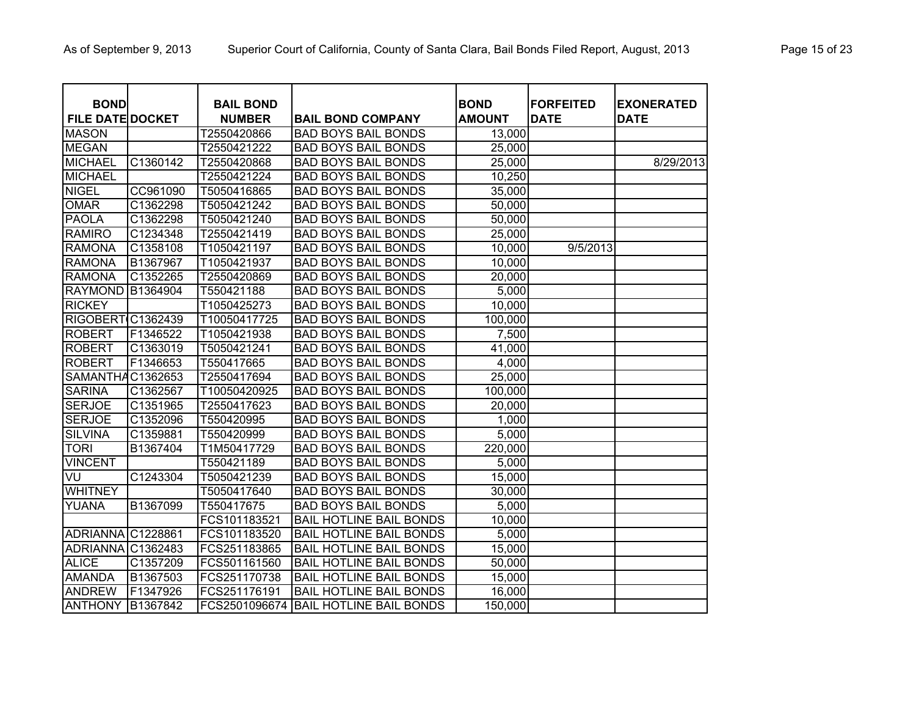| <b>BOND</b>             |          | <b>BAIL BOND</b> |                                | <b>BOND</b>   | <b>FORFEITED</b> | <b>EXONERATED</b> |
|-------------------------|----------|------------------|--------------------------------|---------------|------------------|-------------------|
| <b>FILE DATE DOCKET</b> |          | <b>NUMBER</b>    | <b>BAIL BOND COMPANY</b>       | <b>AMOUNT</b> | <b>DATE</b>      | <b>DATE</b>       |
| <b>MASON</b>            |          | T2550420866      | <b>BAD BOYS BAIL BONDS</b>     | 13,000        |                  |                   |
| <b>MEGAN</b>            |          | T2550421222      | <b>BAD BOYS BAIL BONDS</b>     | 25,000        |                  |                   |
| <b>MICHAEL</b>          | C1360142 | T2550420868      | <b>BAD BOYS BAIL BONDS</b>     | 25,000        |                  | 8/29/2013         |
| <b>MICHAEL</b>          |          | T2550421224      | <b>BAD BOYS BAIL BONDS</b>     | 10,250        |                  |                   |
| <b>NIGEL</b>            | CC961090 | T5050416865      | <b>BAD BOYS BAIL BONDS</b>     | 35,000        |                  |                   |
| <b>OMAR</b>             | C1362298 | T5050421242      | <b>BAD BOYS BAIL BONDS</b>     | 50,000        |                  |                   |
| <b>PAOLA</b>            | C1362298 | T5050421240      | <b>BAD BOYS BAIL BONDS</b>     | 50,000        |                  |                   |
| <b>RAMIRO</b>           | C1234348 | T2550421419      | <b>BAD BOYS BAIL BONDS</b>     | 25,000        |                  |                   |
| <b>RAMONA</b>           | C1358108 | T1050421197      | <b>BAD BOYS BAIL BONDS</b>     | 10,000        | 9/5/2013         |                   |
| <b>RAMONA</b>           | B1367967 | T1050421937      | <b>BAD BOYS BAIL BONDS</b>     | 10,000        |                  |                   |
| <b>RAMONA</b>           | C1352265 | T2550420869      | <b>BAD BOYS BAIL BONDS</b>     | 20,000        |                  |                   |
| <b>RAYMOND</b>          | B1364904 | T550421188       | <b>BAD BOYS BAIL BONDS</b>     | 5,000         |                  |                   |
| <b>RICKEY</b>           |          | T1050425273      | <b>BAD BOYS BAIL BONDS</b>     | 10,000        |                  |                   |
| <b>RIGOBERT</b>         | C1362439 | T10050417725     | <b>BAD BOYS BAIL BONDS</b>     | 100,000       |                  |                   |
| <b>ROBERT</b>           | F1346522 | T1050421938      | <b>BAD BOYS BAIL BONDS</b>     | 7,500         |                  |                   |
| <b>ROBERT</b>           | C1363019 | T5050421241      | <b>BAD BOYS BAIL BONDS</b>     | 41,000        |                  |                   |
| <b>ROBERT</b>           | F1346653 | T550417665       | <b>BAD BOYS BAIL BONDS</b>     | 4,000         |                  |                   |
| <b>SAMANTHA</b>         | C1362653 | T2550417694      | <b>BAD BOYS BAIL BONDS</b>     | 25,000        |                  |                   |
| <b>SARINA</b>           | C1362567 | T10050420925     | <b>BAD BOYS BAIL BONDS</b>     | 100,000       |                  |                   |
| <b>SERJOE</b>           | C1351965 | T2550417623      | <b>BAD BOYS BAIL BONDS</b>     | 20,000        |                  |                   |
| <b>SERJOE</b>           | C1352096 | T550420995       | <b>BAD BOYS BAIL BONDS</b>     | 1,000         |                  |                   |
| <b>SILVINA</b>          | C1359881 | T550420999       | <b>BAD BOYS BAIL BONDS</b>     | 5,000         |                  |                   |
| <b>TORI</b>             | B1367404 | T1M50417729      | <b>BAD BOYS BAIL BONDS</b>     | 220,000       |                  |                   |
| <b>VINCENT</b>          |          | T550421189       | <b>BAD BOYS BAIL BONDS</b>     | 5,000         |                  |                   |
| VU                      | C1243304 | T5050421239      | <b>BAD BOYS BAIL BONDS</b>     | 15,000        |                  |                   |
| <b>WHITNEY</b>          |          | T5050417640      | <b>BAD BOYS BAIL BONDS</b>     | 30,000        |                  |                   |
| YUANA                   | B1367099 | T550417675       | <b>BAD BOYS BAIL BONDS</b>     | 5,000         |                  |                   |
|                         |          | FCS101183521     | <b>BAIL HOTLINE BAIL BONDS</b> | 10,000        |                  |                   |
| <b>ADRIANNA</b>         | C1228861 | FCS101183520     | <b>BAIL HOTLINE BAIL BONDS</b> | 5,000         |                  |                   |
| <b>ADRIANNA</b>         | C1362483 | FCS251183865     | <b>BAIL HOTLINE BAIL BONDS</b> | 15,000        |                  |                   |
| <b>ALICE</b>            | C1357209 | FCS501161560     | <b>BAIL HOTLINE BAIL BONDS</b> | 50,000        |                  |                   |
| <b>AMANDA</b>           | B1367503 | FCS251170738     | <b>BAIL HOTLINE BAIL BONDS</b> | 15,000        |                  |                   |
| <b>ANDREW</b>           | F1347926 | FCS251176191     | <b>BAIL HOTLINE BAIL BONDS</b> | 16,000        |                  |                   |
| <b>ANTHONY</b>          | B1367842 | FCS2501096674    | <b>BAIL HOTLINE BAIL BONDS</b> | 150,000       |                  |                   |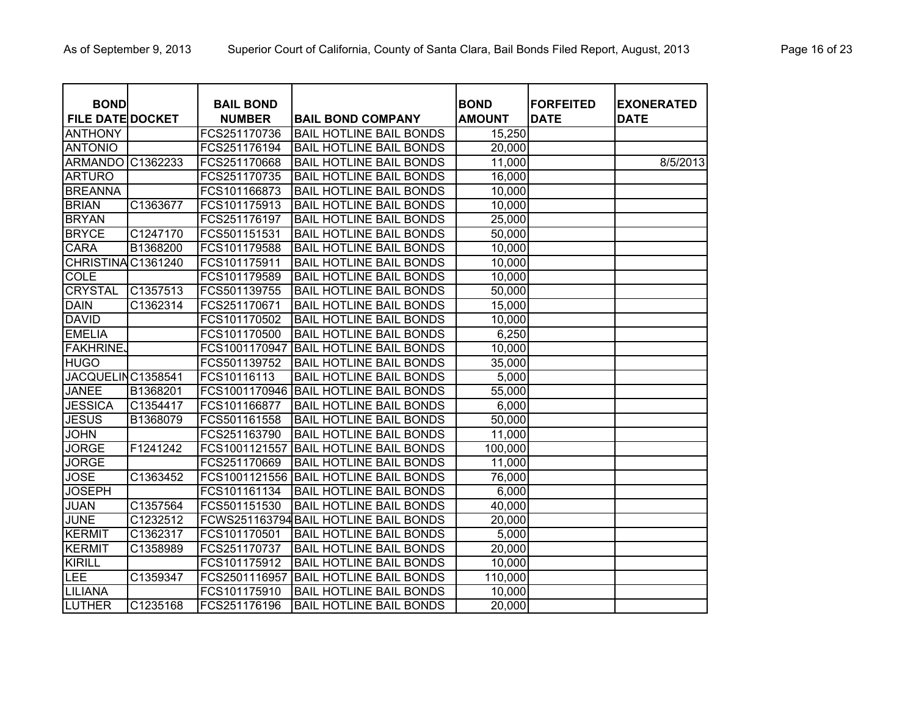| <b>BOND</b>             |                        | <b>BAIL BOND</b> |                                       | <b>BOND</b>   | <b>FORFEITED</b> | <b>EXONERATED</b> |
|-------------------------|------------------------|------------------|---------------------------------------|---------------|------------------|-------------------|
| <b>FILE DATE DOCKET</b> |                        | <b>NUMBER</b>    | <b>BAIL BOND COMPANY</b>              | <b>AMOUNT</b> | <b>DATE</b>      | <b>DATE</b>       |
| <b>ANTHONY</b>          |                        | FCS251170736     | <b>BAIL HOTLINE BAIL BONDS</b>        | 15,250        |                  |                   |
| <b>ANTONIO</b>          |                        | FCS251176194     | <b>BAIL HOTLINE BAIL BONDS</b>        | 20,000        |                  |                   |
| <b>ARMANDO</b>          | $\overline{C}$ 1362233 | FCS251170668     | <b>BAIL HOTLINE BAIL BONDS</b>        | 11,000        |                  | 8/5/2013          |
| <b>ARTURO</b>           |                        | FCS251170735     | <b>BAIL HOTLINE BAIL BONDS</b>        | 16,000        |                  |                   |
| <b>BREANNA</b>          |                        | FCS101166873     | <b>BAIL HOTLINE BAIL BONDS</b>        | 10,000        |                  |                   |
| <b>BRIAN</b>            | C1363677               | FCS101175913     | <b>BAIL HOTLINE BAIL BONDS</b>        | 10,000        |                  |                   |
| <b>BRYAN</b>            |                        | FCS251176197     | <b>BAIL HOTLINE BAIL BONDS</b>        | 25,000        |                  |                   |
| <b>BRYCE</b>            | C1247170               | FCS501151531     | <b>BAIL HOTLINE BAIL BONDS</b>        | 50,000        |                  |                   |
| <b>CARA</b>             | B1368200               | FCS101179588     | <b>BAIL HOTLINE BAIL BONDS</b>        | 10,000        |                  |                   |
| <b>CHRISTINA</b>        | C1361240               | FCS101175911     | <b>BAIL HOTLINE BAIL BONDS</b>        | 10,000        |                  |                   |
| <b>COLE</b>             |                        | FCS101179589     | <b>BAIL HOTLINE BAIL BONDS</b>        | 10,000        |                  |                   |
| <b>CRYSTAL</b>          | C1357513               | FCS501139755     | <b>BAIL HOTLINE BAIL BONDS</b>        | 50,000        |                  |                   |
| <b>DAIN</b>             | C1362314               | FCS251170671     | <b>BAIL HOTLINE BAIL BONDS</b>        | 15,000        |                  |                   |
| <b>DAVID</b>            |                        | FCS101170502     | <b>BAIL HOTLINE BAIL BONDS</b>        | 10,000        |                  |                   |
| <b>EMELIA</b>           |                        | FCS101170500     | <b>BAIL HOTLINE BAIL BONDS</b>        | 6,250         |                  |                   |
| <b>FAKHRINE</b>         |                        | FCS1001170947    | <b>BAIL HOTLINE BAIL BONDS</b>        | 10,000        |                  |                   |
| <b>HUGO</b>             |                        | FCS501139752     | <b>BAIL HOTLINE BAIL BONDS</b>        | 35,000        |                  |                   |
| <b>JACQUELIN</b>        | C1358541               | FCS10116113      | <b>BAIL HOTLINE BAIL BONDS</b>        | 5,000         |                  |                   |
| <b>JANEE</b>            | B1368201               | FCS1001170946    | <b>BAIL HOTLINE BAIL BONDS</b>        | 55,000        |                  |                   |
| <b>JESSICA</b>          | C1354417               | FCS101166877     | <b>BAIL HOTLINE BAIL BONDS</b>        | 6,000         |                  |                   |
| <b>JESUS</b>            | B1368079               | FCS501161558     | <b>BAIL HOTLINE BAIL BONDS</b>        | 50,000        |                  |                   |
| <b>JOHN</b>             |                        | FCS251163790     | <b>BAIL HOTLINE BAIL BONDS</b>        | 11,000        |                  |                   |
| <b>JORGE</b>            | F1241242               | FCS1001121557    | <b>BAIL HOTLINE BAIL BONDS</b>        | 100,000       |                  |                   |
| <b>JORGE</b>            |                        | FCS251170669     | <b>BAIL HOTLINE BAIL BONDS</b>        | 11,000        |                  |                   |
| <b>JOSE</b>             | C1363452               | FCS1001121556    | <b>BAIL HOTLINE BAIL BONDS</b>        | 76,000        |                  |                   |
| <b>JOSEPH</b>           |                        | FCS101161134     | <b>BAIL HOTLINE BAIL BONDS</b>        | 6,000         |                  |                   |
| <b>JUAN</b>             | C1357564               | FCS501151530     | <b>BAIL HOTLINE BAIL BONDS</b>        | 40,000        |                  |                   |
| <b>JUNE</b>             | C1232512               |                  | FCWS251163794 BAIL HOTLINE BAIL BONDS | 20,000        |                  |                   |
| <b>KERMIT</b>           | C <sub>136</sub> 2317  | FCS101170501     | <b>BAIL HOTLINE BAIL BONDS</b>        | 5,000         |                  |                   |
| <b>KERMIT</b>           | C1358989               | FCS251170737     | <b>BAIL HOTLINE BAIL BONDS</b>        | 20,000        |                  |                   |
| <b>KIRILL</b>           |                        | FCS101175912     | <b>BAIL HOTLINE BAIL BONDS</b>        | 10,000        |                  |                   |
| LEE                     | C1359347               | FCS2501116957    | <b>BAIL HOTLINE BAIL BONDS</b>        | 110,000       |                  |                   |
| LILIANA                 |                        | FCS101175910     | <b>BAIL HOTLINE BAIL BONDS</b>        | 10,000        |                  |                   |
| LUTHER                  | C1235168               | FCS251176196     | <b>BAIL HOTLINE BAIL BONDS</b>        | 20,000        |                  |                   |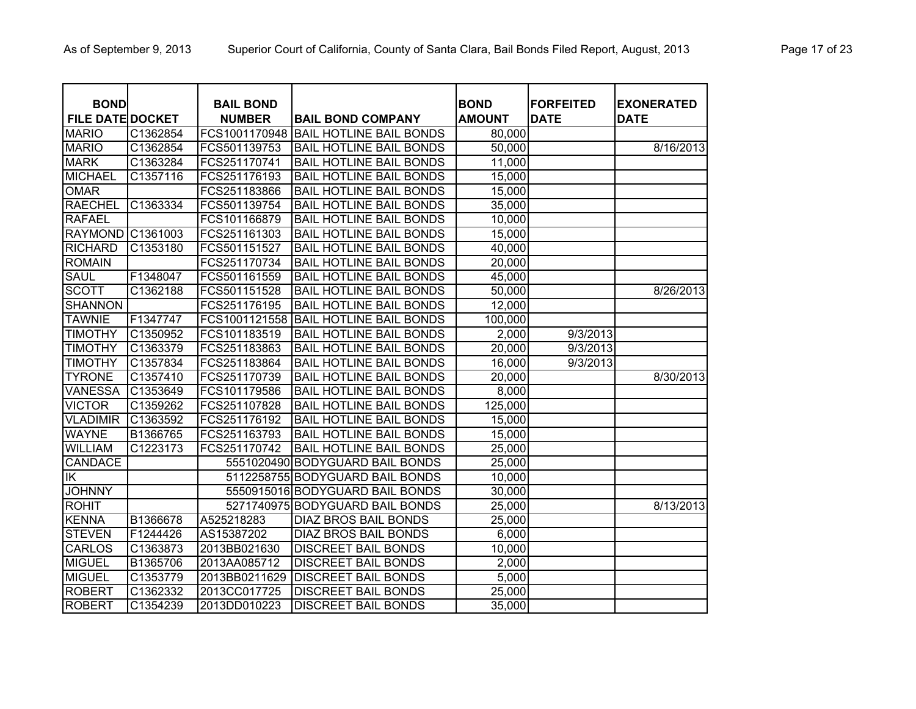| <b>BOND</b>             |          | <b>BAIL BOND</b> |                                 | <b>BOND</b>   | <b>FORFEITED</b> | <b>EXONERATED</b> |
|-------------------------|----------|------------------|---------------------------------|---------------|------------------|-------------------|
| <b>FILE DATE DOCKET</b> |          | <b>NUMBER</b>    | <b>BAIL BOND COMPANY</b>        | <b>AMOUNT</b> | <b>DATE</b>      | <b>DATE</b>       |
| <b>MARIO</b>            | C1362854 | FCS1001170948    | <b>BAIL HOTLINE BAIL BONDS</b>  | 80,000        |                  |                   |
| <b>MARIO</b>            | C1362854 | FCS501139753     | <b>BAIL HOTLINE BAIL BONDS</b>  | 50,000        |                  | 8/16/2013         |
| <b>MARK</b>             | C1363284 | FCS251170741     | <b>BAIL HOTLINE BAIL BONDS</b>  | 11,000        |                  |                   |
| <b>MICHAEL</b>          | C1357116 | FCS251176193     | <b>BAIL HOTLINE BAIL BONDS</b>  | 15,000        |                  |                   |
| <b>OMAR</b>             |          | FCS251183866     | <b>BAIL HOTLINE BAIL BONDS</b>  | 15,000        |                  |                   |
| <b>RAECHEL</b>          | C1363334 | FCS501139754     | <b>BAIL HOTLINE BAIL BONDS</b>  | 35,000        |                  |                   |
| <b>RAFAEL</b>           |          | FCS101166879     | <b>BAIL HOTLINE BAIL BONDS</b>  | 10,000        |                  |                   |
| <b>RAYMOND</b>          | C1361003 | FCS251161303     | <b>BAIL HOTLINE BAIL BONDS</b>  | 15,000        |                  |                   |
| <b>RICHARD</b>          | C1353180 | FCS501151527     | <b>BAIL HOTLINE BAIL BONDS</b>  | 40,000        |                  |                   |
| <b>ROMAIN</b>           |          | FCS251170734     | <b>BAIL HOTLINE BAIL BONDS</b>  | 20,000        |                  |                   |
| <b>SAUL</b>             | F1348047 | FCS501161559     | <b>BAIL HOTLINE BAIL BONDS</b>  | 45,000        |                  |                   |
| <b>SCOTT</b>            | C1362188 | FCS501151528     | <b>BAIL HOTLINE BAIL BONDS</b>  | 50,000        |                  | 8/26/2013         |
| <b>SHANNON</b>          |          | FCS251176195     | <b>BAIL HOTLINE BAIL BONDS</b>  | 12,000        |                  |                   |
| <b>TAWNIE</b>           | F1347747 | FCS1001121558    | <b>BAIL HOTLINE BAIL BONDS</b>  | 100,000       |                  |                   |
| <b>TIMOTHY</b>          | C1350952 | FCS101183519     | <b>BAIL HOTLINE BAIL BONDS</b>  | 2,000         | 9/3/2013         |                   |
| <b>TIMOTHY</b>          | C1363379 | FCS251183863     | <b>BAIL HOTLINE BAIL BONDS</b>  | 20,000        | 9/3/2013         |                   |
| <b>TIMOTHY</b>          | C1357834 | FCS251183864     | <b>BAIL HOTLINE BAIL BONDS</b>  | 16,000        | 9/3/2013         |                   |
| <b>TYRONE</b>           | C1357410 | FCS251170739     | <b>BAIL HOTLINE BAIL BONDS</b>  | 20,000        |                  | 8/30/2013         |
| <b>VANESSA</b>          | C1353649 | FCS101179586     | <b>BAIL HOTLINE BAIL BONDS</b>  | 8,000         |                  |                   |
| <b>VICTOR</b>           | C1359262 | FCS251107828     | <b>BAIL HOTLINE BAIL BONDS</b>  | 125,000       |                  |                   |
| <b>VLADIMIR</b>         | C1363592 | FCS251176192     | <b>BAIL HOTLINE BAIL BONDS</b>  | 15,000        |                  |                   |
| <b>WAYNE</b>            | B1366765 | FCS251163793     | <b>BAIL HOTLINE BAIL BONDS</b>  | 15,000        |                  |                   |
| <b>WILLIAM</b>          | C1223173 | FCS251170742     | <b>BAIL HOTLINE BAIL BONDS</b>  | 25,000        |                  |                   |
| CANDACE                 |          |                  | 5551020490 BODYGUARD BAIL BONDS | 25,000        |                  |                   |
| $\overline{\mathsf{K}}$ |          |                  | 5112258755 BODYGUARD BAIL BONDS | 10,000        |                  |                   |
| <b>JOHNNY</b>           |          |                  | 5550915016 BODYGUARD BAIL BONDS | 30,000        |                  |                   |
| <b>ROHIT</b>            |          |                  | 5271740975 BODYGUARD BAIL BONDS | 25,000        |                  | 8/13/2013         |
| <b>KENNA</b>            | B1366678 | A525218283       | <b>DIAZ BROS BAIL BONDS</b>     | 25,000        |                  |                   |
| <b>STEVEN</b>           | F1244426 | AS15387202       | DIAZ BROS BAIL BONDS            | 6,000         |                  |                   |
| <b>CARLOS</b>           | C1363873 | 2013BB021630     | <b>DISCREET BAIL BONDS</b>      | 10,000        |                  |                   |
| <b>MIGUEL</b>           | B1365706 | 2013AA085712     | <b>DISCREET BAIL BONDS</b>      | 2,000         |                  |                   |
| <b>MIGUEL</b>           | C1353779 | 2013BB0211629    | <b>DISCREET BAIL BONDS</b>      | 5,000         |                  |                   |
| <b>ROBERT</b>           | C1362332 | 2013CC017725     | <b>DISCREET BAIL BONDS</b>      | 25,000        |                  |                   |
| <b>ROBERT</b>           | C1354239 | 2013DD010223     | <b>DISCREET BAIL BONDS</b>      | 35,000        |                  |                   |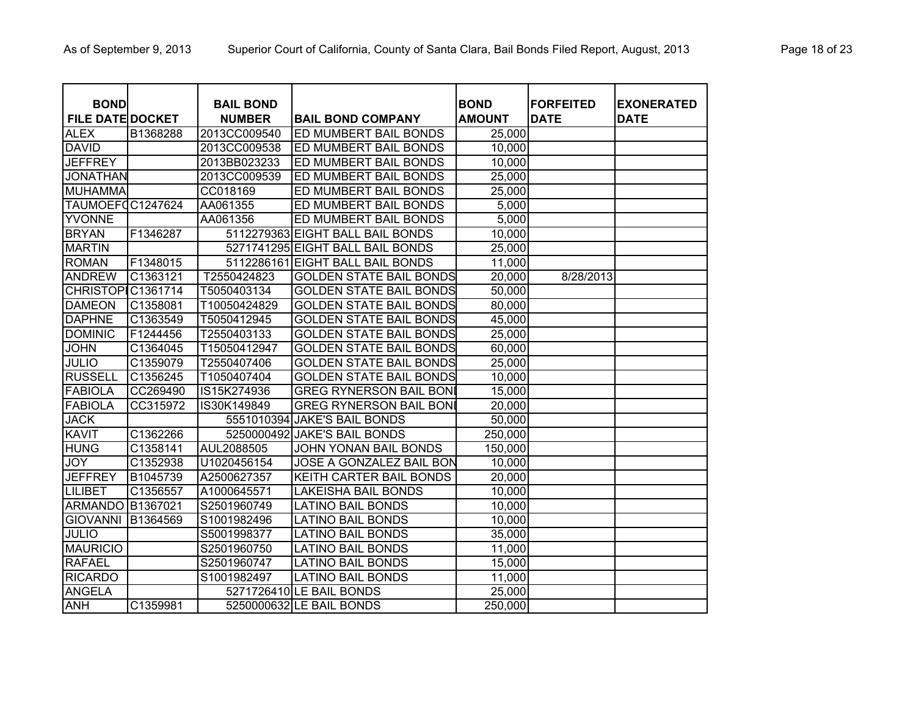| <b>BOND</b>             |                      | <b>BAIL BOND</b> |                                  | <b>BOND</b>   | <b>FORFEITED</b> | <b>EXONERATED</b> |
|-------------------------|----------------------|------------------|----------------------------------|---------------|------------------|-------------------|
| <b>FILE DATE DOCKET</b> |                      | <b>NUMBER</b>    | <b>BAIL BOND COMPANY</b>         | <b>AMOUNT</b> | <b>DATE</b>      | <b>DATE</b>       |
| <b>ALEX</b>             | B1368288             | 2013CC009540     | ED MUMBERT BAIL BONDS            | 25,000        |                  |                   |
| <b>DAVID</b>            |                      | 2013CC009538     | ED MUMBERT BAIL BONDS            | 10,000        |                  |                   |
| <b>JEFFREY</b>          |                      | 2013BB023233     | ED MUMBERT BAIL BONDS            | 10,000        |                  |                   |
| <b>JONATHAN</b>         |                      | 2013CC009539     | ED MUMBERT BAIL BONDS            | 25,000        |                  |                   |
| <b>MUHAMMA</b>          |                      | CC018169         | ED MUMBERT BAIL BONDS            | 25,000        |                  |                   |
| TAUMOEFOC1247624        |                      | AA061355         | ED MUMBERT BAIL BONDS            | 5,000         |                  |                   |
| <b>YVONNE</b>           |                      | AA061356         | ED MUMBERT BAIL BONDS            | 5,000         |                  |                   |
| <b>BRYAN</b>            | F1346287             |                  | 5112279363 EIGHT BALL BAIL BONDS | 10,000        |                  |                   |
| <b>MARTIN</b>           |                      |                  | 5271741295 EIGHT BALL BAIL BONDS | 25,000        |                  |                   |
| <b>ROMAN</b>            | F1348015             |                  | 5112286161 EIGHT BALL BAIL BONDS | 11,000        |                  |                   |
| <b>ANDREW</b>           | C1363121             | T2550424823      | <b>GOLDEN STATE BAIL BONDS</b>   | 20,000        | 8/28/2013        |                   |
| <b>CHRISTOP</b>         | C1361714             | T5050403134      | <b>GOLDEN STATE BAIL BONDS</b>   | 50,000        |                  |                   |
| <b>DAMEON</b>           | C1358081             | T10050424829     | <b>GOLDEN STATE BAIL BONDS</b>   | 80,000        |                  |                   |
| <b>DAPHNE</b>           | C1363549             | T5050412945      | <b>GOLDEN STATE BAIL BONDS</b>   | 45,000        |                  |                   |
| <b>DOMINIC</b>          | F1244456             | T2550403133      | <b>GOLDEN STATE BAIL BONDS</b>   | 25,000        |                  |                   |
| <b>JOHN</b>             | C1364045             | T15050412947     | <b>GOLDEN STATE BAIL BONDS</b>   | 60,000        |                  |                   |
| <b>JULIO</b>            | C1359079             | T2550407406      | <b>GOLDEN STATE BAIL BONDS</b>   | 25,000        |                  |                   |
| <b>RUSSELL</b>          | C1356245             | T1050407404      | <b>GOLDEN STATE BAIL BONDS</b>   | 10,000        |                  |                   |
| <b>FABIOLA</b>          | CC269490             | IS15K274936      | <b>GREG RYNERSON BAIL BONI</b>   | 15,000        |                  |                   |
| <b>FABIOLA</b>          | CC315972             | IS30K149849      | <b>GREG RYNERSON BAIL BONI</b>   | 20,000        |                  |                   |
| <b>JACK</b>             |                      |                  | 5551010394 JAKE'S BAIL BONDS     | 50,000        |                  |                   |
| <b>KAVIT</b>            | C1362266             |                  | 5250000492 JAKE'S BAIL BONDS     | 250,000       |                  |                   |
| <b>HUNG</b>             | C1358141             | AUL2088505       | JOHN YONAN BAIL BONDS            | 150,000       |                  |                   |
| <b>JOY</b>              | C1352938             | U1020456154      | <b>JOSE A GONZALEZ BAIL BON</b>  | 10,000        |                  |                   |
| <b>JEFFREY</b>          | B1045739             | A2500627357      | <b>KEITH CARTER BAIL BONDS</b>   | 20,000        |                  |                   |
| <b>LILIBET</b>          | C1356557             | A1000645571      | <b>LAKEISHA BAIL BONDS</b>       | 10,000        |                  |                   |
| <b>ARMANDO</b>          | B1367021             | S2501960749      | <b>LATINO BAIL BONDS</b>         | 10,000        |                  |                   |
| <b>GIOVANNI</b>         | B <sub>1364569</sub> | S1001982496      | <b>LATINO BAIL BONDS</b>         | 10,000        |                  |                   |
| <b>JULIO</b>            |                      | S5001998377      | <b>LATINO BAIL BONDS</b>         | 35,000        |                  |                   |
| <b>MAURICIO</b>         |                      | S2501960750      | <b>LATINO BAIL BONDS</b>         | 11,000        |                  |                   |
| <b>RAFAEL</b>           |                      | S2501960747      | <b>LATINO BAIL BONDS</b>         | 15,000        |                  |                   |
| <b>RICARDO</b>          |                      | S1001982497      | <b>LATINO BAIL BONDS</b>         | 11,000        |                  |                   |
| <b>ANGELA</b>           |                      |                  | 5271726410 LE BAIL BONDS         | 25,000        |                  |                   |
| <b>ANH</b>              | C1359981             |                  | 5250000632 LE BAIL BONDS         | 250,000       |                  |                   |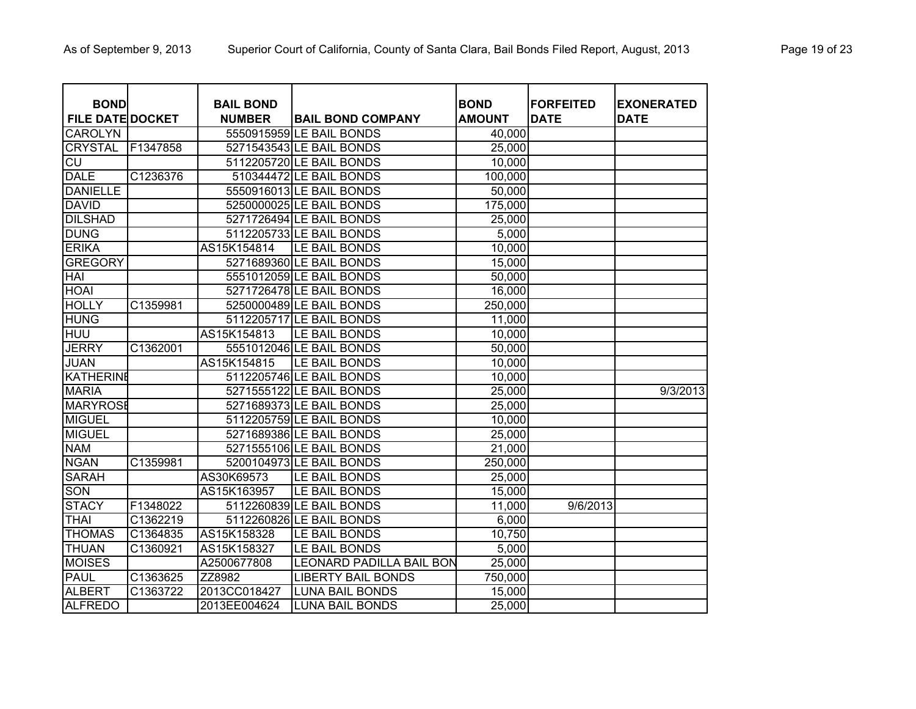| <b>BOND</b>             |          | <b>BAIL BOND</b> |                                 | <b>BOND</b>   | <b>FORFEITED</b> | <b>EXONERATED</b> |
|-------------------------|----------|------------------|---------------------------------|---------------|------------------|-------------------|
| <b>FILE DATE DOCKET</b> |          | <b>NUMBER</b>    | <b>BAIL BOND COMPANY</b>        | <b>AMOUNT</b> | <b>DATE</b>      | <b>DATE</b>       |
| <b>CAROLYN</b>          |          |                  | 5550915959 LE BAIL BONDS        | 40,000        |                  |                   |
| <b>CRYSTAL</b>          | F1347858 |                  | 5271543543 LE BAIL BONDS        | 25,000        |                  |                   |
| $\overline{C}$          |          |                  | 5112205720 LE BAIL BONDS        | 10,000        |                  |                   |
| <b>DALE</b>             | C1236376 |                  | 510344472 LE BAIL BONDS         | 100,000       |                  |                   |
| <b>DANIELLE</b>         |          |                  | 5550916013 LE BAIL BONDS        | 50,000        |                  |                   |
| <b>DAVID</b>            |          |                  | 5250000025 LE BAIL BONDS        | 175,000       |                  |                   |
| <b>DILSHAD</b>          |          |                  | 5271726494 LE BAIL BONDS        | 25,000        |                  |                   |
| <b>DUNG</b>             |          |                  | 5112205733 LE BAIL BONDS        | 5,000         |                  |                   |
| <b>ERIKA</b>            |          | AS15K154814      | LE BAIL BONDS                   | 10,000        |                  |                   |
| <b>GREGORY</b>          |          |                  | 5271689360 LE BAIL BONDS        | 15,000        |                  |                   |
| <b>HAI</b>              |          |                  | 5551012059 LE BAIL BONDS        | 50,000        |                  |                   |
| <b>HOAI</b>             |          |                  | 5271726478 LE BAIL BONDS        | 16,000        |                  |                   |
| <b>HOLLY</b>            | C1359981 |                  | 5250000489 LE BAIL BONDS        | 250,000       |                  |                   |
| <b>HUNG</b>             |          |                  | 5112205717 LE BAIL BONDS        | 11,000        |                  |                   |
| <b>HUU</b>              |          | AS15K154813      | LE BAIL BONDS                   | 10,000        |                  |                   |
| <b>JERRY</b>            | C1362001 |                  | 5551012046 LE BAIL BONDS        | 50,000        |                  |                   |
| <b>JUAN</b>             |          | AS15K154815      | LE BAIL BONDS                   | 10,000        |                  |                   |
| <b>KATHERINE</b>        |          |                  | 5112205746 LE BAIL BONDS        | 10,000        |                  |                   |
| <b>MARIA</b>            |          |                  | 5271555122 LE BAIL BONDS        | 25,000        |                  | 9/3/2013          |
| <b>MARYROSE</b>         |          |                  | 5271689373 LE BAIL BONDS        | 25,000        |                  |                   |
| <b>MIGUEL</b>           |          |                  | 5112205759 LE BAIL BONDS        | 10,000        |                  |                   |
| <b>MIGUEL</b>           |          |                  | 5271689386 LE BAIL BONDS        | 25,000        |                  |                   |
| <b>NAM</b>              |          |                  | 5271555106 LE BAIL BONDS        | 21,000        |                  |                   |
| <b>NGAN</b>             | C1359981 |                  | 5200104973 LE BAIL BONDS        | 250,000       |                  |                   |
| <b>SARAH</b>            |          | AS30K69573       | LE BAIL BONDS                   | 25,000        |                  |                   |
| <b>SON</b>              |          | AS15K163957      | LE BAIL BONDS                   | 15,000        |                  |                   |
| <b>STACY</b>            | F1348022 |                  | 5112260839 LE BAIL BONDS        | 11,000        | 9/6/2013         |                   |
| <b>THAI</b>             | C1362219 |                  | 5112260826 LE BAIL BONDS        | 6,000         |                  |                   |
| <b>THOMAS</b>           | C1364835 | AS15K158328      | LE BAIL BONDS                   | 10,750        |                  |                   |
| <b>THUAN</b>            | C1360921 | AS15K158327      | LE BAIL BONDS                   | 5,000         |                  |                   |
| <b>MOISES</b>           |          | A2500677808      | <b>LEONARD PADILLA BAIL BON</b> | 25,000        |                  |                   |
| <b>PAUL</b>             | C1363625 | ZZ8982           | <b>LIBERTY BAIL BONDS</b>       | 750,000       |                  |                   |
| <b>ALBERT</b>           | C1363722 | 2013CC018427     | <b>LUNA BAIL BONDS</b>          | 15,000        |                  |                   |
| <b>ALFREDO</b>          |          | 2013EE004624     | <b>LUNA BAIL BONDS</b>          | 25,000        |                  |                   |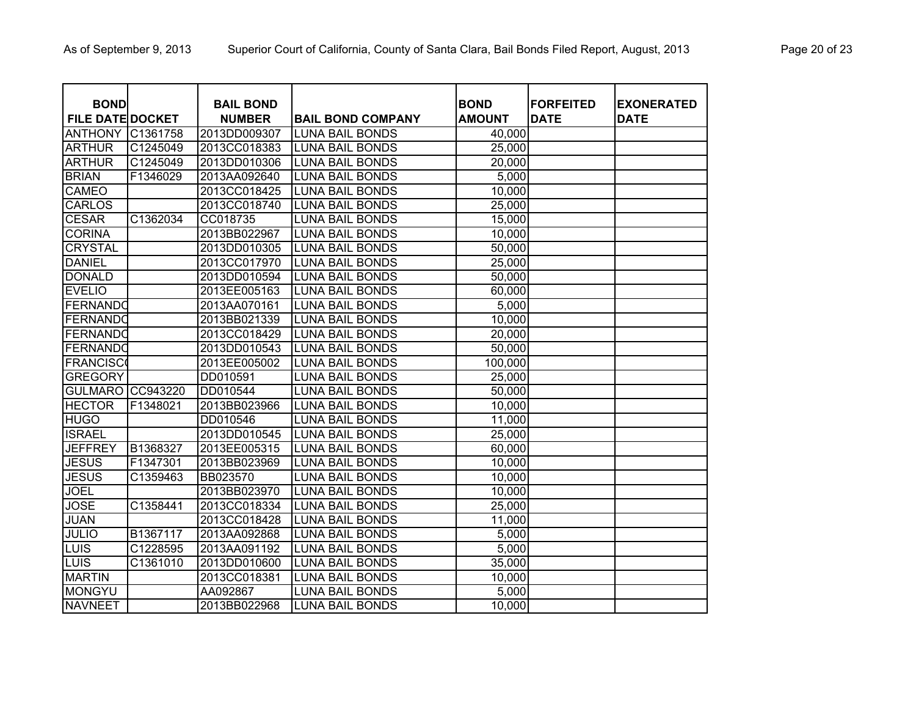| <b>BOND</b>             |                      | <b>BAIL BOND</b> |                          | <b>BOND</b>   | <b>FORFEITED</b> | <b>EXONERATED</b> |
|-------------------------|----------------------|------------------|--------------------------|---------------|------------------|-------------------|
| <b>FILE DATE DOCKET</b> |                      | <b>NUMBER</b>    | <b>BAIL BOND COMPANY</b> | <b>AMOUNT</b> | <b>DATE</b>      | <b>DATE</b>       |
| <b>ANTHONY</b>          | C1361758             | 2013DD009307     | <b>LUNA BAIL BONDS</b>   | 40,000        |                  |                   |
| <b>ARTHUR</b>           | C1245049             | 2013CC018383     | <b>LUNA BAIL BONDS</b>   | 25,000        |                  |                   |
| <b>ARTHUR</b>           | C1245049             | 2013DD010306     | <b>LUNA BAIL BONDS</b>   | 20,000        |                  |                   |
| <b>BRIAN</b>            | F1346029             | 2013AA092640     | <b>LUNA BAIL BONDS</b>   | 5,000         |                  |                   |
| <b>CAMEO</b>            |                      | 2013CC018425     | <b>LUNA BAIL BONDS</b>   | 10,000        |                  |                   |
| <b>CARLOS</b>           |                      | 2013CC018740     | <b>LUNA BAIL BONDS</b>   | 25,000        |                  |                   |
| <b>CESAR</b>            | C1362034             | CC018735         | <b>LUNA BAIL BONDS</b>   | 15,000        |                  |                   |
| <b>CORINA</b>           |                      | 2013BB022967     | <b>LUNA BAIL BONDS</b>   | 10,000        |                  |                   |
| <b>CRYSTAL</b>          |                      | 2013DD010305     | <b>LUNA BAIL BONDS</b>   | 50,000        |                  |                   |
| <b>DANIEL</b>           |                      | 2013CC017970     | <b>LUNA BAIL BONDS</b>   | 25,000        |                  |                   |
| <b>DONALD</b>           |                      | 2013DD010594     | <b>LUNA BAIL BONDS</b>   | 50,000        |                  |                   |
| <b>EVELIO</b>           |                      | 2013EE005163     | <b>LUNA BAIL BONDS</b>   | 60,000        |                  |                   |
| FERNANDO                |                      | 2013AA070161     | <b>LUNA BAIL BONDS</b>   | 5,000         |                  |                   |
| FERNANDO                |                      | 2013BB021339     | <b>LUNA BAIL BONDS</b>   | 10,000        |                  |                   |
| FERNANDO                |                      | 2013CC018429     | <b>LUNA BAIL BONDS</b>   | 20,000        |                  |                   |
| FERNANDO                |                      | 2013DD010543     | <b>LUNA BAIL BONDS</b>   | 50,000        |                  |                   |
| <b>FRANCISCO</b>        |                      | 2013EE005002     | <b>LUNA BAIL BONDS</b>   | 100,000       |                  |                   |
| <b>GREGORY</b>          |                      | DD010591         | <b>LUNA BAIL BONDS</b>   | 25,000        |                  |                   |
| <b>GULMARO</b>          | CC943220             | DD010544         | <b>LUNA BAIL BONDS</b>   | 50,000        |                  |                   |
| <b>HECTOR</b>           | F1348021             | 2013BB023966     | <b>LUNA BAIL BONDS</b>   | 10,000        |                  |                   |
| <b>HUGO</b>             |                      | DD010546         | <b>LUNA BAIL BONDS</b>   | 11,000        |                  |                   |
| <b>ISRAEL</b>           |                      | 2013DD010545     | <b>LUNA BAIL BONDS</b>   | 25,000        |                  |                   |
| <b>JEFFREY</b>          | B1368327             | 2013EE005315     | <b>LUNA BAIL BONDS</b>   | 60,000        |                  |                   |
| <b>JESUS</b>            | F1347301             | 2013BB023969     | <b>LUNA BAIL BONDS</b>   | 10,000        |                  |                   |
| <b>JESUS</b>            | C <sub>1359463</sub> | BB023570         | <b>LUNA BAIL BONDS</b>   | 10,000        |                  |                   |
| <b>JOEL</b>             |                      | 2013BB023970     | <b>LUNA BAIL BONDS</b>   | 10,000        |                  |                   |
| <b>JOSE</b>             | C1358441             | 2013CC018334     | <b>LUNA BAIL BONDS</b>   | 25,000        |                  |                   |
| <b>JUAN</b>             |                      | 2013CC018428     | <b>LUNA BAIL BONDS</b>   | 11,000        |                  |                   |
| <b>JULIO</b>            | B1367117             | 2013AA092868     | <b>LUNA BAIL BONDS</b>   | 5,000         |                  |                   |
| LUIS                    | C1228595             | 2013AA091192     | <b>LUNA BAIL BONDS</b>   | 5,000         |                  |                   |
| LUIS                    | C1361010             | 2013DD010600     | <b>LUNA BAIL BONDS</b>   | 35,000        |                  |                   |
| <b>MARTIN</b>           |                      | 2013CC018381     | <b>LUNA BAIL BONDS</b>   | 10,000        |                  |                   |
| MONGYU                  |                      | AA092867         | <b>LUNA BAIL BONDS</b>   | 5,000         |                  |                   |
| <b>NAVNEET</b>          |                      | 2013BB022968     | <b>LUNA BAIL BONDS</b>   | 10,000        |                  |                   |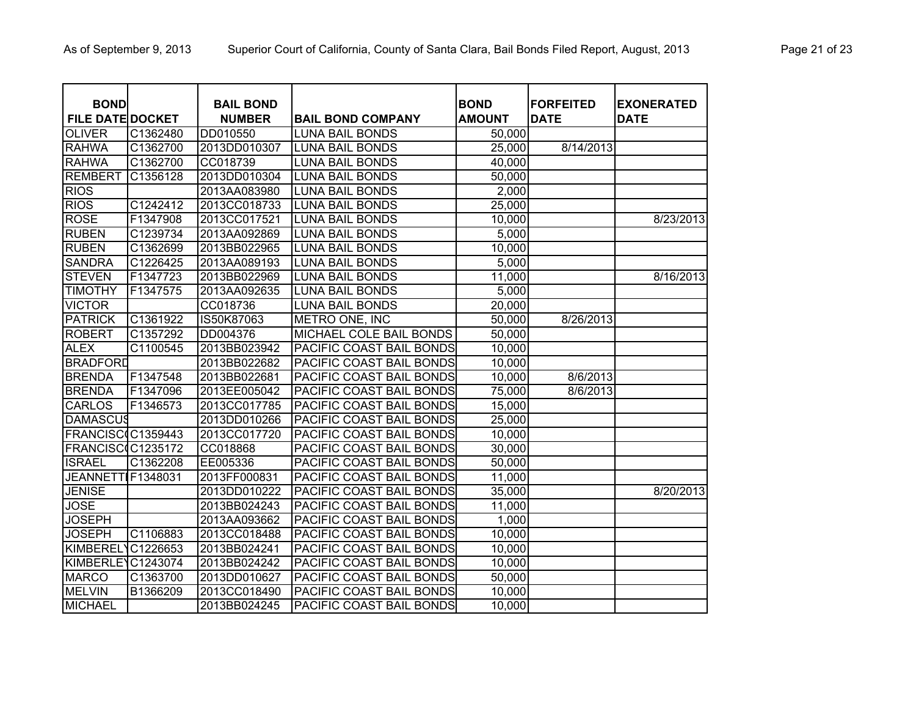| <b>BOND</b>                   |                      | <b>BAIL BOND</b>         |                                                  | <b>BOND</b>      | <b>FORFEITED</b> | <b>EXONERATED</b> |
|-------------------------------|----------------------|--------------------------|--------------------------------------------------|------------------|------------------|-------------------|
| <b>FILE DATE DOCKET</b>       |                      | <b>NUMBER</b>            | <b>BAIL BOND COMPANY</b>                         | <b>AMOUNT</b>    | <b>DATE</b>      | <b>DATE</b>       |
| <b>OLIVER</b><br><b>RAHWA</b> | C1362480<br>C1362700 | DD010550<br>2013DD010307 | <b>LUNA BAIL BONDS</b><br><b>LUNA BAIL BONDS</b> | 50,000<br>25,000 | 8/14/2013        |                   |
| <b>RAHWA</b>                  | C1362700             | CC018739                 | <b>LUNA BAIL BONDS</b>                           | 40,000           |                  |                   |
| <b>REMBERT</b>                | C1356128             | 2013DD010304             | <b>LUNA BAIL BONDS</b>                           | 50,000           |                  |                   |
| <b>RIOS</b>                   |                      | 2013AA083980             | <b>LUNA BAIL BONDS</b>                           | 2,000            |                  |                   |
| <b>RIOS</b>                   | C1242412             | 2013CC018733             | <b>LUNA BAIL BONDS</b>                           | 25,000           |                  |                   |
| <b>ROSE</b>                   | F1347908             | 2013CC017521             | <b>LUNA BAIL BONDS</b>                           | 10,000           |                  | 8/23/2013         |
| <b>RUBEN</b>                  | C1239734             | 2013AA092869             | <b>LUNA BAIL BONDS</b>                           | 5,000            |                  |                   |
| <b>RUBEN</b>                  | C1362699             | 2013BB022965             | <b>LUNA BAIL BONDS</b>                           | 10,000           |                  |                   |
| <b>SANDRA</b>                 | C1226425             | 2013AA089193             | <b>LUNA BAIL BONDS</b>                           | 5,000            |                  |                   |
| <b>STEVEN</b>                 | F1347723             | 2013BB022969             | <b>LUNA BAIL BONDS</b>                           | 11,000           |                  | 8/16/2013         |
| <b>TIMOTHY</b>                | F1347575             | 2013AA092635             | <b>LUNA BAIL BONDS</b>                           | 5,000            |                  |                   |
| <b>VICTOR</b>                 |                      | CC018736                 | <b>LUNA BAIL BONDS</b>                           | 20,000           |                  |                   |
| <b>PATRICK</b>                | C1361922             | IS50K87063               | METRO ONE, INC                                   | 50,000           | 8/26/2013        |                   |
| <b>ROBERT</b>                 | C1357292             | DD004376                 | MICHAEL COLE BAIL BONDS                          | 50,000           |                  |                   |
| <b>ALEX</b>                   | C1100545             | 2013BB023942             | PACIFIC COAST BAIL BONDS                         | 10,000           |                  |                   |
| <b>BRADFORD</b>               |                      | 2013BB022682             | PACIFIC COAST BAIL BONDS                         | 10,000           |                  |                   |
| <b>BRENDA</b>                 | F1347548             | 2013BB022681             | PACIFIC COAST BAIL BONDS                         | 10,000           | 8/6/2013         |                   |
| <b>BRENDA</b>                 | F1347096             | 2013EE005042             | PACIFIC COAST BAIL BONDS                         | 75,000           | 8/6/2013         |                   |
| <b>CARLOS</b>                 | F1346573             | 2013CC017785             | PACIFIC COAST BAIL BONDS                         | 15,000           |                  |                   |
| <b>DAMASCUS</b>               |                      | 2013DD010266             | PACIFIC COAST BAIL BONDS                         | 25,000           |                  |                   |
| FRANCISC(C1359443             |                      | 2013CC017720             | PACIFIC COAST BAIL BONDS                         | 10,000           |                  |                   |
| FRANCISC(C1235172             |                      | CC018868                 | PACIFIC COAST BAIL BONDS                         | 30,000           |                  |                   |
| <b>ISRAEL</b>                 | C1362208             | EE005336                 | PACIFIC COAST BAIL BONDS                         | 50,000           |                  |                   |
| <b>JEANNETTI</b>              | F1348031             | 2013FF000831             | PACIFIC COAST BAIL BONDS                         | 11,000           |                  |                   |
| <b>JENISE</b>                 |                      | 2013DD010222             | PACIFIC COAST BAIL BONDS                         | 35,000           |                  | 8/20/2013         |
| <b>JOSE</b>                   |                      | 2013BB024243             | PACIFIC COAST BAIL BONDS                         | 11,000           |                  |                   |
| <b>JOSEPH</b>                 |                      | 2013AA093662             | PACIFIC COAST BAIL BONDS                         | 1,000            |                  |                   |
| <b>JOSEPH</b>                 | C1106883             | 2013CC018488             | PACIFIC COAST BAIL BONDS                         | 10,000           |                  |                   |
| <b>KIMBEREL</b>               | C1226653             | 2013BB024241             | PACIFIC COAST BAIL BONDS                         | 10,000           |                  |                   |
| KIMBERLE <sup>®</sup>         | C1243074             | 2013BB024242             | PACIFIC COAST BAIL BONDS                         | 10,000           |                  |                   |
| <b>MARCO</b>                  | C1363700             | 2013DD010627             | PACIFIC COAST BAIL BONDS                         | 50,000           |                  |                   |
| <b>MELVIN</b>                 | B1366209             | 2013CC018490             | PACIFIC COAST BAIL BONDS                         | 10,000           |                  |                   |
| <b>MICHAEL</b>                |                      | 2013BB024245             | PACIFIC COAST BAIL BONDS                         | 10,000           |                  |                   |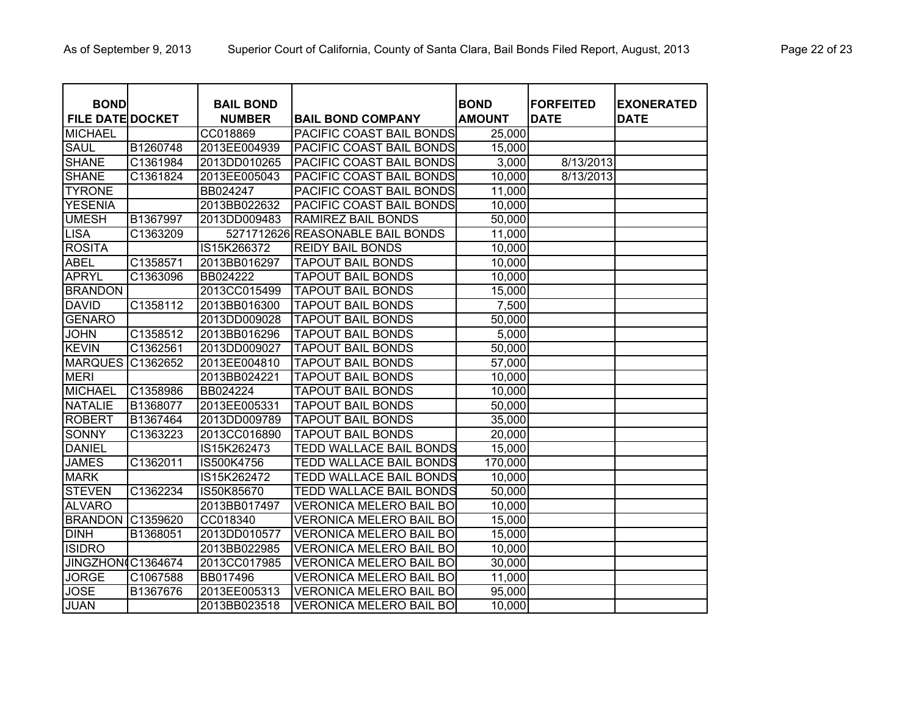| <b>BOND</b>             |          | <b>BAIL BOND</b> |                                  | <b>BOND</b>   | <b>FORFEITED</b> | <b>EXONERATED</b> |
|-------------------------|----------|------------------|----------------------------------|---------------|------------------|-------------------|
| <b>FILE DATE DOCKET</b> |          | <b>NUMBER</b>    | <b>BAIL BOND COMPANY</b>         | <b>AMOUNT</b> | <b>DATE</b>      | <b>DATE</b>       |
| <b>MICHAEL</b>          |          | CC018869         | PACIFIC COAST BAIL BONDS         | 25,000        |                  |                   |
| <b>SAUL</b>             | B1260748 | 2013EE004939     | PACIFIC COAST BAIL BONDS         | 15,000        |                  |                   |
| <b>SHANE</b>            | C1361984 | 2013DD010265     | PACIFIC COAST BAIL BONDS         | 3,000         | 8/13/2013        |                   |
| <b>SHANE</b>            | C1361824 | 2013EE005043     | PACIFIC COAST BAIL BONDS         | 10,000        | 8/13/2013        |                   |
| <b>TYRONE</b>           |          | BB024247         | PACIFIC COAST BAIL BONDS         | 11,000        |                  |                   |
| <b>YESENIA</b>          |          | 2013BB022632     | <b>PACIFIC COAST BAIL BONDS</b>  | 10,000        |                  |                   |
| <b>UMESH</b>            | B1367997 | 2013DD009483     | <b>RAMIREZ BAIL BONDS</b>        | 50,000        |                  |                   |
| <b>LISA</b>             | C1363209 |                  | 5271712626 REASONABLE BAIL BONDS | 11,000        |                  |                   |
| <b>ROSITA</b>           |          | IS15K266372      | <b>REIDY BAIL BONDS</b>          | 10,000        |                  |                   |
| <b>ABEL</b>             | C1358571 | 2013BB016297     | <b>TAPOUT BAIL BONDS</b>         | 10,000        |                  |                   |
| <b>APRYL</b>            | C1363096 | BB024222         | <b>TAPOUT BAIL BONDS</b>         | 10,000        |                  |                   |
| <b>BRANDON</b>          |          | 2013CC015499     | <b>TAPOUT BAIL BONDS</b>         | 15,000        |                  |                   |
| <b>DAVID</b>            | C1358112 | 2013BB016300     | <b>TAPOUT BAIL BONDS</b>         | 7,500         |                  |                   |
| <b>GENARO</b>           |          | 2013DD009028     | <b>TAPOUT BAIL BONDS</b>         | 50,000        |                  |                   |
| <b>JOHN</b>             | C1358512 | 2013BB016296     | <b>TAPOUT BAIL BONDS</b>         | 5,000         |                  |                   |
| <b>KEVIN</b>            | C1362561 | 2013DD009027     | <b>TAPOUT BAIL BONDS</b>         | 50,000        |                  |                   |
| <b>MARQUES</b>          | C1362652 | 2013EE004810     | <b>TAPOUT BAIL BONDS</b>         | 57,000        |                  |                   |
| <b>MERI</b>             |          | 2013BB024221     | <b>TAPOUT BAIL BONDS</b>         | 10,000        |                  |                   |
| <b>MICHAEL</b>          | C1358986 | BB024224         | <b>TAPOUT BAIL BONDS</b>         | 10,000        |                  |                   |
| <b>NATALIE</b>          | B1368077 | 2013EE005331     | <b>TAPOUT BAIL BONDS</b>         | 50,000        |                  |                   |
| <b>ROBERT</b>           | B1367464 | 2013DD009789     | <b>TAPOUT BAIL BONDS</b>         | 35,000        |                  |                   |
| <b>SONNY</b>            | C1363223 | 2013CC016890     | <b>TAPOUT BAIL BONDS</b>         | 20,000        |                  |                   |
| <b>DANIEL</b>           |          | IS15K262473      | TEDD WALLACE BAIL BONDS          | 15,000        |                  |                   |
| <b>JAMES</b>            | C1362011 | IS500K4756       | <b>TEDD WALLACE BAIL BONDS</b>   | 170,000       |                  |                   |
| <b>MARK</b>             |          | IS15K262472      | <b>TEDD WALLACE BAIL BONDS</b>   | 10,000        |                  |                   |
| <b>STEVEN</b>           | C1362234 | IS50K85670       | <b>TEDD WALLACE BAIL BONDS</b>   | 50,000        |                  |                   |
| <b>ALVARO</b>           |          | 2013BB017497     | <b>VERONICA MELERO BAIL BO</b>   | 10,000        |                  |                   |
| <b>BRANDON</b>          | C1359620 | CC018340         | <b>VERONICA MELERO BAIL BO</b>   | 15,000        |                  |                   |
| <b>DINH</b>             | B1368051 | 2013DD010577     | <b>VERONICA MELERO BAIL BO</b>   | 15,000        |                  |                   |
| <b>ISIDRO</b>           |          | 2013BB022985     | <b>VERONICA MELERO BAIL BO</b>   | 10,000        |                  |                   |
| JINGZHON(C1364674       |          | 2013CC017985     | <b>VERONICA MELERO BAIL BO</b>   | 30,000        |                  |                   |
| <b>JORGE</b>            | C1067588 | BB017496         | <b>VERONICA MELERO BAIL BO</b>   | 11,000        |                  |                   |
| <b>JOSE</b>             | B1367676 | 2013EE005313     | VERONICA MELERO BAIL BO          | 95,000        |                  |                   |
| <b>JUAN</b>             |          | 2013BB023518     | <b>VERONICA MELERO BAIL BO</b>   | 10,000        |                  |                   |